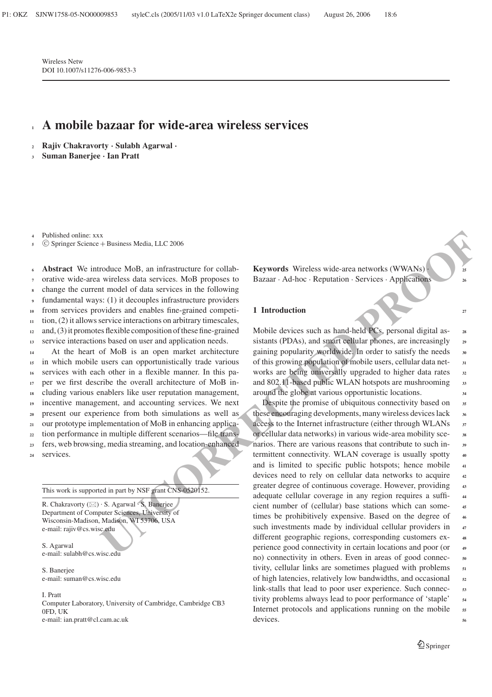Wireless Netw DOI 10.1007/s11276-006-9853-3

# **<sup>1</sup> A mobile bazaar for wide-area wireless services**

- **Rajiv Chakravorty** *·* **Sulabh Agarwal** *·* **2**
- **Suman Banerjee** *·* **Ian Pratt 3**

**<sup>4</sup>** Published online: xxx

**<sup>5</sup>** <sup>C</sup> Springer Science + Business Media, LLC 2006

 **Abstract** We introduce MoB, an infrastructure for collab- orative wide-area wireless data services. MoB proposes to change the current model of data services in the following fundamental ways: (1) it decouples infrastructure providers from services providers and enables fine-grained competi- tion, (2) it allows service interactions on arbitrary timescales, and, (3) it promotes flexible composition of these fine-grained service interactions based on user and application needs. At the heart of MoB is an open market architecture

 in which mobile users can opportunistically trade various services with each other in a flexible manner. In this pa- per we first describe the overall architecture of MoB in- cluding various enablers like user reputation management, incentive management, and accounting services. We next present our experience from both simulations as well as our prototype implementation of MoB in enhancing applica- tion performance in multiple different scenarios—file trans- fers, web browsing, media streaming, and location-enhanced services.

This work is supported in part by NSF grant CNS-0520152.

R. Chakravorty ( $\boxtimes$ ) · S. Agarwal · S. Banerjee Department of Computer Sciences, University of Wisconsin-Madison, Madison, WI 53706, USA e-mail: rajiv@cs.wisc.edu

S. Agarwal e-mail: sulabh@cs.wisc.edu

S. Banerjee e-mail: suman@cs.wisc.edu

# I. Pratt

Computer Laboratory, University of Cambridge, Cambridge CB3 0FD, UK e-mail: ian.pratt@cl.cam.ac.uk

Keywords Wireless wide-area networks (WWANs) Bazaar . Ad-hoc . Reputation . Services . Applications **<sup>26</sup>**

# **1 Introduction <sup>27</sup>**

Mobile devices such as hand-held PCs, personal digital assistants (PDAs), and smart cellular phones, are increasingly **<sup>29</sup>** gaining popularity worldwide. In order to satisfy the needs **<sup>30</sup>** of this growing population of mobile users, cellular data net- **<sup>31</sup>** works are being universally upgraded to higher data rates <sup>32</sup> and 802.11-based public WLAN hotspots are mushrooming <sup>33</sup> around the globe at various opportunistic locations. **<sup>34</sup>**

A state of the state of the state of the state of the state of the state of the state of the state of the state of the state of the state of the state of the state of the state of the state of the state of the state of the Despite the promise of ubiquitous connectivity based on **35** these encouraging developments, many wireless devices lack **<sup>36</sup>** access to the Internet infrastructure (either through WLANs <sup>37</sup> or cellular data networks) in various wide-area mobility sce- **<sup>38</sup>** narios. There are various reasons that contribute to such in- **<sup>39</sup>** termittent connectivity. WLAN coverage is usually spotty **<sup>40</sup>** and is limited to specific public hotspots; hence mobile **<sup>41</sup>** devices need to rely on cellular data networks to acquire **<sup>42</sup>** greater degree of continuous coverage. However, providing **<sup>43</sup>** adequate cellular coverage in any region requires a suffi- **<sup>44</sup>** cient number of (cellular) base stations which can some- **<sup>45</sup>** times be prohibitively expensive. Based on the degree of **<sup>46</sup>** such investments made by individual cellular providers in  $\frac{47}{47}$ different geographic regions, corresponding customers ex- **<sup>48</sup>** perience good connectivity in certain locations and poor (or **<sup>49</sup>** no) connectivity in others. Even in areas of good connec- **<sup>50</sup>** tivity, cellular links are sometimes plagued with problems **<sup>51</sup>** of high latencies, relatively low bandwidths, and occasional **<sup>52</sup>** link-stalls that lead to poor user experience. Such connec- **<sup>53</sup>** tivity problems always lead to poor performance of 'staple' **<sup>54</sup>** Internet protocols and applications running on the mobile **55** devices. **<sup>56</sup>**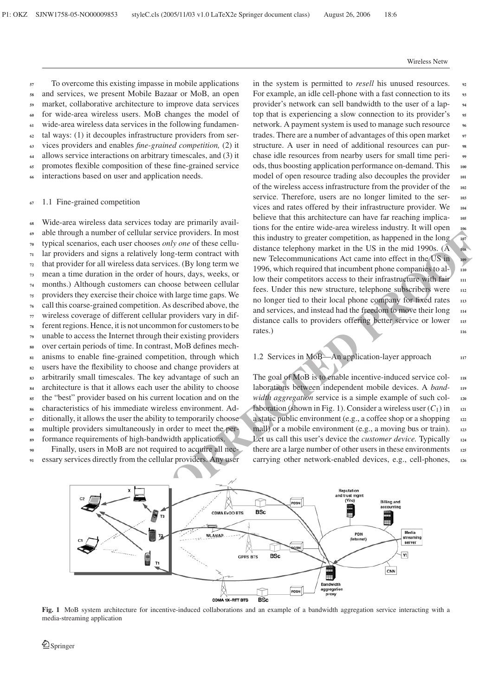To overcome this existing impasse in mobile applications and services, we present Mobile Bazaar or MoB, an open market, collaborative architecture to improve data services for wide-area wireless users. MoB changes the model of wide-area wireless data services in the following fundamen- tal ways: (1) it decouples infrastructure providers from ser- vices providers and enables *fine-grained competition,* (2) it allows service interactions on arbitrary timescales, and (3) it promotes flexible composition of these fine-grained service interactions based on user and application needs.

# **<sup>67</sup>** 1.1 Fine-grained competition

mber of cellular severe providers. In most considerate completion, as appended on the long-response of the signification and the signification and the signification of the signification in the constrained in the significa Wide-area wireless data services today are primarily available through a number of cellular service providers. In most typical scenarios, each user chooses *only one* of these cellu- lar providers and signs a relatively long-term contract with that provider for all wireless data services. (By long term we mean a time duration in the order of hours, days, weeks, or months.) Although customers can choose between cellular providers they exercise their choice with large time gaps. We call this coarse-grained competition. As described above, the wireless coverage of different cellular providers vary in dif- ferent regions. Hence, it is not uncommon for customers to be unable to access the Internet through their existing providers over certain periods of time. In contrast, MoB defines mech- anisms to enable fine-grained competition, through which users have the flexibility to choose and change providers at arbitrarily small timescales. The key advantage of such an architecture is that it allows each user the ability to choose the "best" provider based on his current location and on the characteristics of his immediate wireless environment. Ad- ditionally, it allows the user the ability to temporarily choose multiple providers simultaneously in order to meet the per- formance requirements of high-bandwidth applications. Finally, users in MoB are not required to acquire all nec-

**<sup>91</sup>** essary services directly from the cellular providers. Any user

For example, an idle cell-phone with a fast connection to its **<sup>93</sup>** provider's network can sell bandwidth to the user of a lap- **<sup>94</sup>** top that is experiencing a slow connection to its provider's **<sup>95</sup>** network. A payment system is used to manage such resource  $\frac{96}{100}$ trades. There are a number of advantages of this open market **<sup>97</sup>** structure. A user in need of additional resources can pur- **<sup>98</sup>** chase idle resources from nearby users for small time peri- **<sup>99</sup>** ods, thus boosting application performance on-demand. This **<sup>100</sup>** model of open resource trading also decouples the provider **101** of the wireless access infrastructure from the provider of the **<sup>102</sup>** service. Therefore, users are no longer limited to the ser- **<sup>103</sup>** vices and rates offered by their infrastructure provider. We **<sup>104</sup>** believe that this architecture can have far reaching implica- **<sup>105</sup>** tions for the entire wide-area wireless industry. It will open **<sup>106</sup>** this industry to greater competition, as happened in the long **<sup>107</sup>** distance telephony market in the US in the mid 1990s. (A new Telecommunications Act came into effect in the US in 1996, which required that incumbent phone companies to al- **<sup>110</sup>** low their competitors access to their infrastructure with fair **111** fees. Under this new structure, telephone subscribers were **<sup>112</sup>** no longer tied to their local phone company for fixed rates **<sup>113</sup>** and services, and instead had the freedom to move their long **<sup>114</sup>** distance calls to providers offering better service or lower **<sup>115</sup>** rates.) **116** 

in the system is permitted to *resell* his unused resources. **<sup>92</sup>**

# 1.2 Services in MoB—An application-layer approach **<sup>117</sup>**

The goal of MoB is to enable incentive-induced service col- **<sup>118</sup>** laborations between independent mobile devices. A *band-* **<sup>119</sup>** *width aggregation* service is a simple example of such col- **<sup>120</sup>** laboration (shown in Fig. 1). Consider a wireless user  $(C_1)$  in **121** a static public environment (e.g., a coffee shop or a shopping **<sup>122</sup>** mall) or a mobile environment (e.g., a moving bus or train). **123** Let us call this user's device the *customer device.* Typically **<sup>124</sup>** there are a large number of other users in these environments **<sup>125</sup>** carrying other network-enabled devices, e.g., cell-phones, **<sup>126</sup>**



**Fig. 1** MoB system architecture for incentive-induced collaborations and an example of a bandwidth aggregation service interacting with a media-streaming application

## Wireless Netw

 $\mathfrak{D}$  Springer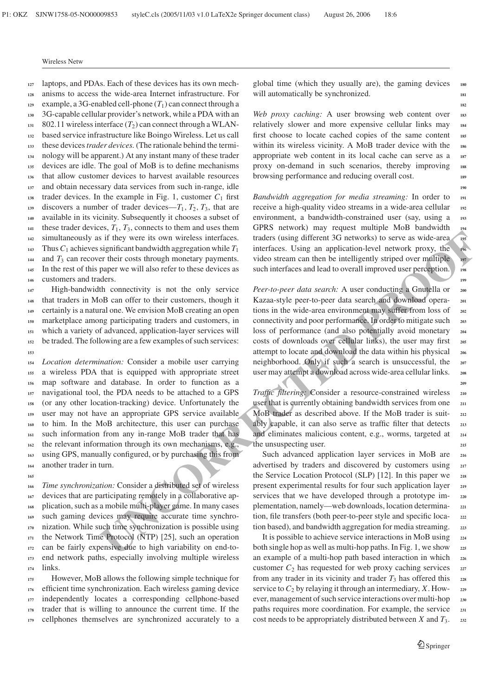laptops, and PDAs. Each of these devices has its own mech- anisms to access the wide-area Internet infrastructure. For example, a 3G-enabled cell-phone  $(T_1)$  can connect through a 3G-capable cellular provider's network, while a PDA with an 802.11 wireless interface  $(T_2)$  can connect through a WLAN- based service infrastructure like Boingo Wireless. Let us call these devices*trader devices.* (The rationale behind the termi- nology will be apparent.) At any instant many of these trader devices are idle. The goal of MoB is to define mechanisms that allow customer devices to harvest available resources and obtain necessary data services from such in-range, idle 138 trader devices. In the example in Fig. 1, customer  $C_1$  first 139 discovers a number of trader devices— $T_1$ ,  $T_2$ ,  $T_3$ , that are available in its vicinity. Subsequently it chooses a subset of 141 these trader devices,  $T_1$ ,  $T_3$ , connects to them and uses them simultaneously as if they were its own wireless interfaces. Thus  $C_1$  achieves significant bandwidth aggregation while  $T_1$  and *T*<sup>3</sup> can recover their costs through monetary payments. In the rest of this paper we will also refer to these devices as customers and traders.

 High-bandwidth connectivity is not the only service that traders in MoB can offer to their customers, though it certainly is a natural one. We envision MoB creating an open marketplace among participating traders and customers, in which a variety of advanced, application-layer services will be traded. The following are a few examples of such services: **153**

 *Location determination:* Consider a mobile user carrying a wireless PDA that is equipped with appropriate street map software and database. In order to function as a navigational tool, the PDA needs to be attached to a GPS (or any other location-tracking) device. Unfortunately the user may not have an appropriate GPS service available to him. In the MoB architecture, this user can purchase such information from any in-range MoB trader that has the relevant information through its own mechanisms, e.g., using GPS, manually configured, or by purchasing this from another trader in turn.

**165**

 *Time synchronization:* Consider a distributed set of wireless devices that are participating remotely in a collaborative ap- plication, such as a mobile multi-player game. In many cases such gaming devices may require accurate time synchro- nization. While such time synchronization is possible using the Network Time Protocol (NTP) [25], such an operation can be fairly expensive due to high variability on end-to- end network paths, especially involving multiple wireless **<sup>174</sup>** links.

 However, MoB allows the following simple technique for efficient time synchronization. Each wireless gaming device independently locates a corresponding cellphone-based trader that is willing to announce the current time. If the cellphones themselves are synchronized accurately to a

global time (which they usually are), the gaming devices **<sup>180</sup>** will automatically be synchronized.

*Web proxy caching:* A user browsing web content over **<sup>183</sup>** relatively slower and more expensive cellular links may **<sup>184</sup>** first choose to locate cached copies of the same content **<sup>185</sup>** within its wireless vicinity. A MoB trader device with the **186** appropriate web content in its local cache can serve as a **<sup>187</sup>** proxy on-demand in such scenarios, thereby improving **<sup>188</sup>** browsing performance and reducing overall cost. **<sup>189</sup>**

*Bandwidth aggregation for media streaming:* In order to **<sup>191</sup>** receive a high-quality video streams in a wide-area cellular **<sup>192</sup>** environment, a bandwidth-constrained user (say, using a **<sup>193</sup>** GPRS network) may request multiple MoB bandwidth **<sup>194</sup>** traders (using different 3G networks) to serve as wide-area **<sup>195</sup>** interfaces. Using an application-level network proxy, the video stream can then be intelligently striped over multiple **<sup>197</sup>** such interfaces and lead to overall improved user perception. **198** 

**EXERCT SET AND SET AND SET AND SET AND SET AND SET AND SET AND SET AND SET AND SET AND SET AND SET AND SET AND SET AND SET AND SET AND SET AND SET AND SET AND SET AND SET AND SET AND SET AND SET AND SET AND SET AND SET A** *Peer-to-peer data search:* A user conducting a Gnutella or **<sup>200</sup>** Kazaa-style peer-to-peer data search and download opera- **<sup>201</sup>** tions in the wide-area environment may suffer from loss of **<sup>202</sup>** connectivity and poor performance. In order to mitigate such **<sup>203</sup>** loss of performance (and also potentially avoid monetary **<sup>204</sup>** costs of downloads over cellular links), the user may first **<sup>205</sup>** attempt to locate and download the data within his physical **<sup>206</sup>** neighborhood. Only if such a search is unsuccessful, the **<sup>207</sup>** user may attempt a download across wide-area cellular links. **<sup>208</sup>**

*Traffic filtering:* Consider a resource-constrained wireless **<sup>210</sup>** user that is currently obtaining bandwidth services from one **<sup>211</sup>** MoB trader as described above. If the MoB trader is suit- **<sup>212</sup>** ably capable, it can also serve as traffic filter that detects **<sup>213</sup>** and eliminates malicious content, e.g., worms, targeted at **<sup>214</sup>** the unsuspecting user. 215

Such advanced application layer services in MoB are **<sup>216</sup>** advertised by traders and discovered by customers using **<sup>217</sup>** the Service Location Protocol (SLP) [12]. In this paper we **<sup>218</sup>** present experimental results for four such application layer **<sup>219</sup>** services that we have developed through a prototype implementation, namely—web downloads, location determina- **<sup>221</sup>** tion, file transfers (both peer-to-peer style and specific loca- **<sup>222</sup>** tion based), and bandwidth aggregation for media streaming. **<sup>223</sup>**

It is possible to achieve service interactions in MoB using **<sup>224</sup>** both single hop as well as multi-hop paths. In Fig. 1, we show **<sup>225</sup>** an example of a multi-hop path based interaction in which **<sup>226</sup>** customer  $C_2$  has requested for web proxy caching services  $227$ from any trader in its vicinity and trader  $T_3$  has offered this  $_{228}$ service to  $C_2$  by relaying it through an intermediary,  $X$ . However, management of such service interactions over multi-hop **<sup>230</sup>** paths requires more coordination. For example, the service **<sup>231</sup>** cost needs to be appropriately distributed between *X* and *T*3. **<sup>232</sup>**

**199**

**209**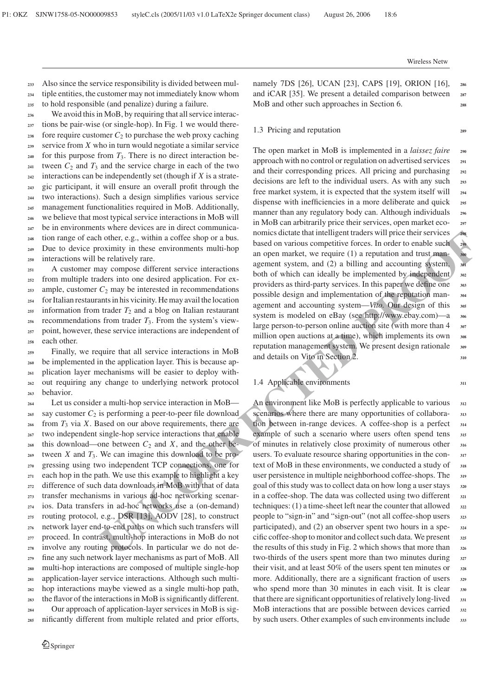**<sup>233</sup>** Also since the service responsibility is divided between mul-**<sup>234</sup>** tiple entities, the customer may not immediately know whom **<sup>235</sup>** to hold responsible (and penalize) during a failure.

 We avoid this in MoB, by requiring that all service interac- tions be pair-wise (or single-hop). In Fig. 1 we would there- fore require customer  $C_2$  to purchase the web proxy caching service from *X* who in turn would negotiate a similar service for this purpose from  $T_3$ . There is no direct interaction be- tween  $C_2$  and  $T_3$  and the service charge in each of the two interactions can be independently set (though if *X* is a strate- gic participant, it will ensure an overall profit through the two interactions). Such a design simplifies various service management functionalities required in MoB. Additionally, we believe that most typical service interactions in MoB will be in environments where devices are in direct communica- tion range of each other, e.g., within a coffee shop or a bus. Due to device proximity in these environments multi-hop interactions will be relatively rare.

 A customer may compose different service interactions from multiple traders into one desired application. For ex- ample, customer  $C_2$  may be interested in recommendations for Italian restaurants in his vicinity. He may avail the location information from trader  $T_2$  and a blog on Italian restaurant recommendations from trader *T*3. From the system's view- point, however, these service interactions are independent of each other.

 Finally, we require that all service interactions in MoB be implemented in the application layer. This is because ap- plication layer mechanisms will be easier to deploy with- out requiring any change to underlying network protocol behavior.

Let us consider a multi-hop service interaction in MoB— say customer  $C_2$  is performing a peer-to-peer file download from  $T_3$  via *X*. Based on our above requirements, there are two independent single-hop service interactions that enable this download—one between  $C_2$  and  $X$ , and the other be- tween *X* and *T*3. We can imagine this download to be pro- gressing using two independent TCP connections, one for each hop in the path. We use this example to highlight a key difference of such data downloads in MoB with that of data transfer mechanisms in various ad-hoc networking scenar- ios. Data transfers in ad-hoc networks use a (on-demand) routing protocol, e.g., DSR [13], AODV [28], to construct network layer end-to-end paths on which such transfers will proceed. In contrast, multi-hop interactions in MoB do not involve any routing protocols. In particular we do not de- fine any such network layer mechanisms as part of MoB. All multi-hop interactions are composed of multiple single-hop application-layer service interactions. Although such multi- hop interactions maybe viewed as a single multi-hop path, the flavor of the interactions in MoB is significantly different. Our approach of application-layer services in MoB is sig-nificantly different from multiple related and prior efforts,

namely 7DS [26], UCAN [23], CAPS [19], ORION [16], **<sup>286</sup>** and iCAR [35]. We present a detailed comparison between **287** MoB and other such approaches in Section 6. **288** 

# 1.3 Pricing and reputation **<sup>289</sup>**

The open market in MoB is implemented in a *laissez faire* **<sup>290</sup>** approach with no control or regulation on advertised services **<sup>291</sup>** and their corresponding prices. All pricing and purchasing **<sup>292</sup>** decisions are left to the individual users. As with any such **<sup>293</sup>** free market system, it is expected that the system itself will **<sup>294</sup>** dispense with inefficiencies in a more deliberate and quick **<sup>295</sup>** manner than any regulatory body can. Although individuals **<sup>296</sup>** in MoB can arbitrarily price their services, open market eco- **<sup>297</sup>** nomics dictate that intelligent traders will price their services **<sup>298</sup>** based on various competitive forces. In order to enable such **<sup>299</sup>** an open market, we require (1) a reputation and trust management system, and (2) a billing and accounting system, both of which can ideally be implemented by independent <sub>302</sub> providers as third-party services. In this paper we define one **<sup>303</sup>** possible design and implementation of the reputation man- **<sup>304</sup>** agement and accounting system—*Vito.* Our design of this **<sup>305</sup>** system is modeled on eBay (see http://www.ebay.com)—a 306 large person-to-person online auction site (with more than 4 **307** million open auctions at a time), which implements its own **308** reputation management system. We present design rationale **<sup>309</sup>** and details on Vito in Section 2.

# 1.4 Applicable environments **<sup>311</sup>**

nother, e.g., within a coftee shop or a buss<br>moment during<br>through transfers woll precedine the second contains completive forces. In order to enable such<br>the reduction the environments multi-hop an open market, we equire An environment like MoB is perfectly applicable to various 312 scenarios where there are many opportunities of collabora-<br>
<sub>313</sub> tion between in-range devices. A coffee-shop is a perfect **<sup>314</sup>** example of such a scenario where users often spend tens 315 of minutes in relatively close proximity of numerous other **<sup>316</sup>** users. To evaluate resource sharing opportunities in the con- **<sup>317</sup>** text of MoB in these environments, we conducted a study of **<sup>318</sup>** user persistence in multiple neighborhood coffee-shops. The  $\frac{319}{2}$ goal of this study was to collect data on how long a user stays **<sup>320</sup>** in a coffee-shop. The data was collected using two different  $\frac{321}{2}$ techniques: (1) a time-sheet left near the counter that allowed **<sup>322</sup>** people to "sign-in" and "sign-out" (not all coffee-shop users **<sup>323</sup>** participated), and (2) an observer spent two hours in a spe- **<sup>324</sup>** cific coffee-shop to monitor and collect such data. We present **<sup>325</sup>** the results of this study in Fig. 2 which shows that more than  $\frac{326}{6}$ two-thirds of the users spent more than two minutes during **<sup>327</sup>** their visit, and at least 50% of the users spent ten minutes or **<sup>328</sup>** more. Additionally, there are a significant fraction of users  $\frac{329}{2}$ who spend more than 30 minutes in each visit. It is clear **330** that there are significant opportunities of relatively long-lived **<sup>331</sup>** MoB interactions that are possible between devices carried  $\frac{332}{2}$ by such users. Other examples of such environments include **<sup>333</sup>**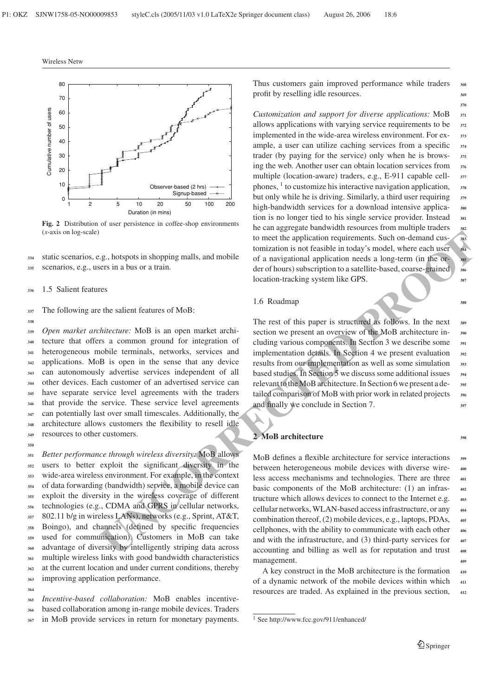

**Fig. 2** Distribution of user persistence in coffee-shop environments (*x*-axis on log-scale)

**<sup>334</sup>** static scenarios, e.g., hotspots in shopping malls, and mobile **<sup>335</sup>** scenarios, e.g., users in a bus or a train.

#### **<sup>336</sup>** 1.5 Salient features

**<sup>337</sup>** The following are the salient features of MoB:

**338**

 *Open market architecture:* MoB is an open market archi- tecture that offers a common ground for integration of heterogeneous mobile terminals, networks, services and applications. MoB is open in the sense that any device can autonomously advertise services independent of all other devices. Each customer of an advertised service can have separate service level agreements with the traders that provide the service. These service level agreements can potentially last over small timescales. Additionally, the architecture allows customers the flexibility to resell idle resources to other customers.

**350**

 *Better performance through wireless diversity:* MoB allows users to better exploit the significant diversity in the wide-area wireless environment. For example, in the context of data forwarding (bandwidth) service, a mobile device can exploit the diversity in the wireless coverage of different technologies (e.g., CDMA and GPRS in cellular networks, 802.11 b/g in wireless LANs), networks (e.g., Sprint, AT&T, Boingo), and channels (defined by specific frequencies used for communication). Customers in MoB can take advantage of diversity by intelligently striping data across multiple wireless links with good bandwidth characteristics at the current location and under current conditions, thereby improving application performance.

**<sup>365</sup>** *Incentive-based collaboration:* MoB enables incentive-**<sup>366</sup>** based collaboration among in-range mobile devices. Traders **<sup>367</sup>** in MoB provide services in return for monetary payments. Thus customers gain improved performance while traders **<sup>368</sup>** profit by reselling idle resources.

*Customization and support for diverse applications:* MoB **<sup>371</sup>** allows applications with varying service requirements to be **<sup>372</sup>** implemented in the wide-area wireless environment. For ex- **<sup>373</sup>** ample, a user can utilize caching services from a specific **374** trader (by paying for the service) only when he is brows- **<sup>375</sup>** ing the web. Another user can obtain location services from **<sup>376</sup>** multiple (location-aware) traders, e.g., E-911 capable cell-<br> $377$ phones, <sup>1</sup> to customize his interactive navigation application, **<sup>378</sup>** but only while he is driving. Similarly, a third user requiring **<sup>379</sup>** high-bandwidth services for a download intensive applica-<br><sub>380</sub> tion is no longer tied to his single service provider. Instead **<sup>381</sup>** he can aggregate bandwidth resources from multiple traders **<sup>382</sup>** to meet the application requirements. Such on-demand customization is not feasible in today's model, where each user of a navigational application needs a long-term (in the or- **<sup>385</sup>** der of hours) subscription to a satellite-based, coarse-grained **<sup>386</sup>** location-tracking system like GPS.

#### 1.6 Roadmap **388**

The rest of this paper is structured as follows. In the next section we present an overview of the MoB architecture in- **<sup>390</sup>** cluding various components. In Section 3 we describe some **<sup>391</sup>** implementation details. In Section 4 we present evaluation **<sup>392</sup>** results from our implementation as well as some simulation **<sup>393</sup>** based studies. In Section 5 we discuss some additional issues **<sup>394</sup>** relevant to the MoB architecture. In Section 6 we present a de- **<sup>395</sup>** tailed comparison of MoB with prior work in related projects **<sup>396</sup>** and finally we conclude in Section 7.

# **2 MoB architecture <sup>398</sup>**

**Example 10** to meet the application requirements. Such on-demand cus-<br>
e.g., botspots in shopping malls, and mobile to that a may is more reached where each user<br>
of a mavigational application needs a long-term (in the o MoB defines a flexible architecture for service interactions **<sup>399</sup>** between heterogeneous mobile devices with diverse wireless access mechanisms and technologies. There are three **<sup>401</sup>** basic components of the MoB architecture: (1) an infras- **<sup>402</sup>** tructure which allows devices to connect to the Internet e.g. **<sup>403</sup>** cellular networks, WLAN-based access infrastructure, or any **<sup>404</sup>** combination thereof, (2) mobile devices, e.g., laptops, PDAs, cellphones, with the ability to communicate with each other **<sup>406</sup>** and with the infrastructure, and (3) third-party services for **407** accounting and billing as well as for reputation and trust **<sup>408</sup>** management. **<sup>409</sup>**

> A key construct in the MoB architecture is the formation **<sup>410</sup>** of a dynamic network of the mobile devices within which **<sup>411</sup>** resources are traded. As explained in the previous section, **<sup>412</sup>**

**<sup>364</sup>**

<sup>1</sup> See http://www.fcc.gov/911/enhanced/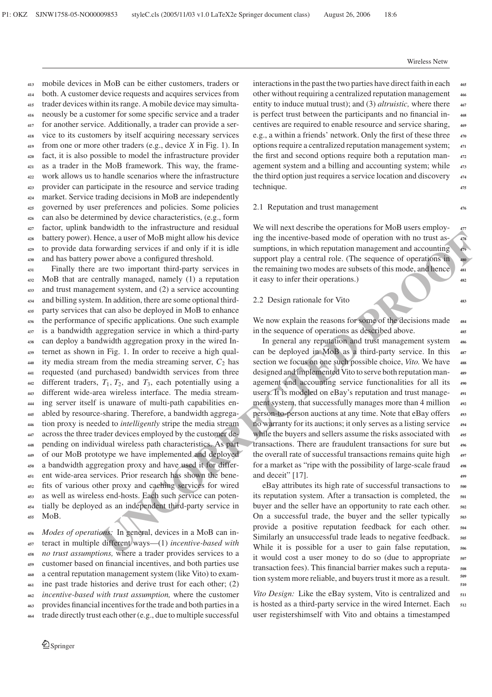mobile devices in MoB can be either customers, traders or both. A customer device requests and acquires services from trader devices within its range. A mobile device may simulta- neously be a customer for some specific service and a trader for another service. Additionally, a trader can provide a ser- vice to its customers by itself acquiring necessary services from one or more other traders (e.g., device *X* in Fig. 1). In fact, it is also possible to model the infrastructure provider as a trader in the MoB framework. This way, the frame- work allows us to handle scenarios where the infrastructure provider can participate in the resource and service trading market. Service trading decisions in MoB are independently governed by user preferences and policies. Some policies can also be determined by device characteristics, (e.g., form factor, uplink bandwidth to the infrastructure and residual battery power). Hence, a user of MoB might allow his device to provide data forwarding services if and only if it is idle and has battery power above a configured threshold.

ence, a user of MoB might allow his device ing the incentive-based mode of operation with no trust as-<br>provarding services if and only if it is ide- sumptions, in which eputation management and accounting<br>the method of th Finally there are two important third-party services in MoB that are centrally managed, namely (1) a reputation and trust management system, and (2) a service accounting and billing system. In addition, there are some optional third- party services that can also be deployed in MoB to enhance the performance of specific applications. One such example is a bandwidth aggregation service in which a third-party can deploy a bandwidth aggregation proxy in the wired In- ternet as shown in Fig. 1. In order to receive a high quality media stream from the media streaming server,  $C_2$  has requested (and purchased) bandwidth services from three different traders,  $T_1$ ,  $T_2$ , and  $T_3$ , each potentially using a different wide-area wireless interface. The media streaming server itself is unaware of multi-path capabilities en- abled by resource-sharing. Therefore, a bandwidth aggrega- tion proxy is needed to *intelligently* stripe the media stream across the three trader devices employed by the customer de- pending on individual wireless path characteristics. As part of our MoB prototype we have implemented and deployed a bandwidth aggregation proxy and have used it for differ- ent wide-area services. Prior research has shown the bene- fits of various other proxy and caching services for wired as well as wireless end-hosts. Each such service can poten- tially be deployed as an independent third-party service in **<sup>455</sup>** MoB.

 *Modes of operations:* In general, devices in a MoB can in- teract in multiple different ways—(1) *incentive-based with no trust assumptions,* where a trader provides services to a customer based on financial incentives, and both parties use a central reputation management system (like Vito) to examine past trade histories and derive trust for each other; (2) *incentive-based with trust assumption,* where the customer provides financial incentives for the trade and both parties in a trade directly trust each other (e.g., due to multiple successful

Wireless Netw

interactions in the past the two parties have direct faith in each **<sup>465</sup>** other without requiring a centralized reputation management **<sup>466</sup>** entity to induce mutual trust); and (3) *altruistic*, where there **467** is perfect trust between the participants and no financial in- **<sup>468</sup>** centives are required to enable resource and service sharing, **<sup>469</sup>** e.g., a within a friends' network. Only the first of these three **<sup>470</sup>** options require a centralized reputation management system; **<sup>471</sup>** the first and second options require both a reputation man- **<sup>472</sup>** agement system and a billing and accounting system; while **<sup>473</sup>** the third option just requires a service location and discovery **<sup>474</sup>** technique.  $475$ 

#### 2.1 Reputation and trust management **<sup>476</sup>**

We will next describe the operations for MoB users employ- **<sup>477</sup>** ing the incentive-based mode of operation with no trust as- **<sup>478</sup>** sumptions, in which reputation management and accounting support play a central role. (The sequence of operations in the remaining two modes are subsets of this mode, and hence **<sup>481</sup>** it easy to infer their operations.)

#### 2.2 Design rationale for Vito **483**

We now explain the reasons for some of the decisions made  $484$ in the sequence of operations as described above. **<sup>485</sup>**

In general any reputation and trust management system **<sup>486</sup>** can be deployed in MoB as a third-party service. In this **<sup>487</sup>** section we focus on one such possible choice, *Vito.* We have **<sup>488</sup>** designed and implemented Vito to serve both reputation man- **<sup>489</sup>** agement and accounting service functionalities for all its users. It is modeled on eBay's reputation and trust manage- **<sup>491</sup>** ment system, that successfully manages more than 4 million  $\frac{492}{2}$ person-to-person auctions at any time. Note that eBay offers **<sup>493</sup>** no warranty for its auctions; it only serves as a listing service **<sup>494</sup>** while the buyers and sellers assume the risks associated with  $\frac{495}{495}$ transactions. There are fraudulent transactions for sure but **<sup>496</sup>** the overall rate of successful transactions remains quite high **<sup>497</sup>** for a market as "ripe with the possibility of large-scale fraud **<sup>498</sup>** and deceit" [17].

eBay attributes its high rate of successful transactions to **<sup>500</sup>** its reputation system. After a transaction is completed, the **<sup>501</sup>** buyer and the seller have an opportunity to rate each other. **502** On a successful trade, the buyer and the seller typically **<sup>503</sup>** provide a positive reputation feedback for each other. **<sup>504</sup>** Similarly an unsuccessful trade leads to negative feedback. **<sup>505</sup>** While it is possible for a user to gain false reputation, it would cost a user money to do so (due to appropriate **<sup>507</sup>** transaction fees). This financial barrier makes such a reputation system more reliable, and buyers trust it more as a result. **<sup>509</sup>**

*Vito Design:* Like the eBay system, Vito is centralized and  $\overline{511}$ is hosted as a third-party service in the wired Internet. Each **<sup>512</sup>** user registershimself with Vito and obtains a timestamped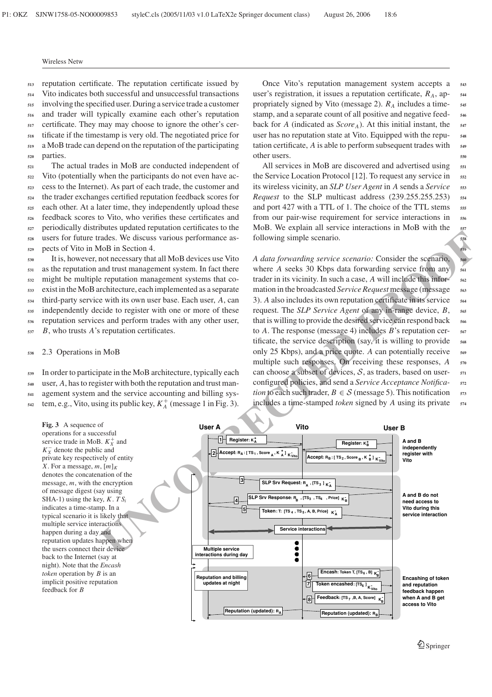reputation certificate. The reputation certificate issued by Vito indicates both successful and unsuccessful transactions involving the specified user. During a service trade a customer and trader will typically examine each other's reputation certificate. They may may choose to ignore the other's cer- tificate if the timestamp is very old. The negotiated price for a MoB trade can depend on the reputation of the participating **<sup>520</sup>** parties.

 The actual trades in MoB are conducted independent of Vito (potentially when the participants do not even have ac- cess to the Internet). As part of each trade, the customer and the trader exchanges certified reputation feedback scores for each other. At a later time, they independently upload these feedback scores to Vito, who verifies these certificates and periodically distributes updated reputation certificates to the users for future trades. We discuss various performance as-pects of Vito in MoB in Section 4.

 It is, however, not necessary that all MoB devices use Vito as the reputation and trust management system. In fact there might be multiple reputation management systems that co- exist in the MoB architecture, each implemented as a separate third-party service with its own user base. Each user, *A*, can independently decide to register with one or more of these reputation services and perform trades with any other user, *B*, who trusts *A*'s reputation certificates.

# **<sup>538</sup>** 2.3 Operations in MoB

 In order to participate in the MoB architecture, typically each user, *A*, has to register with both the reputation and trust man- agement system and the service accounting and billing system, e.g., Vito, using its public key,  $K_A^+$  (message 1 in Fig. 3).

Once Vito's reputation management system accepts a **<sup>543</sup>** user's registration, it issues a reputation certificate,  $R_A$ , appropriately signed by Vito (message 2). *RA* includes a time- **<sup>545</sup>** stamp, and a separate count of all positive and negative feed- **<sup>546</sup>** back for *A* (indicated as *Score<sub>A</sub>*). At this initial instant, the  $\overline{547}$ user has no reputation state at Vito. Equipped with the repu- **<sup>548</sup>** tation certificate, *A* is able to perform subsequent trades with **<sup>549</sup>** other users. **<sup>550</sup>**

All services in MoB are discovered and advertised using  $551$ the Service Location Protocol [12]. To request any service in **<sup>552</sup>** its wireless vicinity, an *SLP User Agent* in *A* sends a *Service* **<sup>553</sup>** *Request* to the SLP multicast address (239.255.255.253) **<sup>554</sup>** and port 427 with a TTL of 1. The choice of the TTL stems  $555$ from our pair-wise requirement for service interactions in **<sup>556</sup>** MoB. We explain all service interactions in MoB with the  $\frac{557}{200}$ following simple scenario.

*A data forwarding service scenario:* Consider the scenario, **<sup>560</sup>** where *A* seeks 30 Kbps data forwarding service from any 561 trader in its vicinity. In such a case, *A* will include this infor- **<sup>562</sup>** mation in the broadcasted *Service Request* message (message **<sup>563</sup>** 3). *A* also includes its own reputation certificate in its service **<sup>564</sup>** request. The *SLP Service Agent* of any in-range device, *B*, that is willing to provide the desired service can respond back **<sup>566</sup>** to *A*. The response (message 4) includes *B*'s reputation cer- **<sup>567</sup>** tificate, the service description (say, it is willing to provide **<sup>568</sup>** only 25 Kbps), and a price quote. *A* can potentially receive **<sup>569</sup>** multiple such responses. On receiving these responses, *A* **<sup>570</sup>** can choose a subset of devices,  $S$ , as traders, based on user-<br>configured policies, and send a *Service Acceptance Notifica*configured policies, and send a *Service Acceptance Notifica-* **<sup>572</sup>** *tion* to each such trader,  $B \in S$  (message 5). This notification  $573$ includes a time-stamped *token* signed by *A* using its private **<sup>574</sup>**

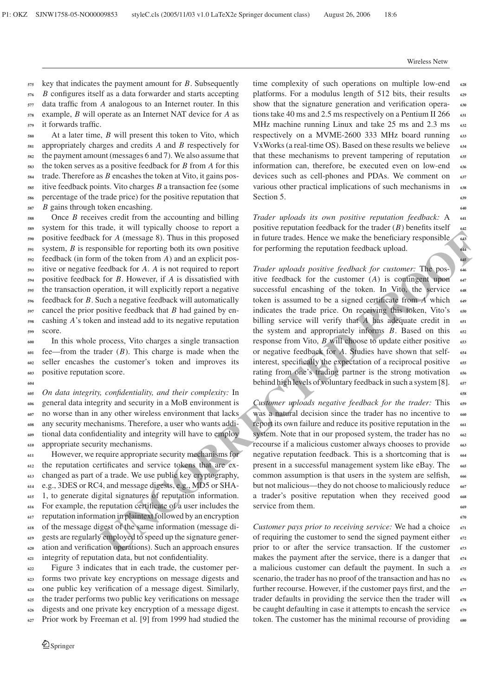**640**

**645**

**658**

**670**

**<sup>575</sup>** key that indicates the payment amount for *B*. Subsequently **<sup>576</sup>** *B* configures itself as a data forwarder and starts accepting **<sup>577</sup>** data traffic from *A* analogous to an Internet router. In this

**<sup>578</sup>** example, *B* will operate as an Internet NAT device for *A* as **<sup>579</sup>** it forwards traffic.

 At a later time, *B* will present this token to Vito, which appropriately charges and credits *A* and *B* respectively for the payment amount (messages 6 and 7). We also assume that the token serves as a positive feedback for *B* from *A* for this trade. Therefore as *B* encashes the token at Vito, it gains pos- itive feedback points. Vito charges *B* a transaction fee (some percentage of the trade price) for the positive reputation that *B* gains through token encashing.

 Once *B* receives credit from the accounting and billing system for this trade, it will typically choose to report a positive feedback for *A* (message 8). Thus in this proposed system, *B* is responsible for reporting both its own positive feedback (in form of the token from *A*) and an explicit pos- itive or negative feedback for *A*. *A* is not required to report positive feedback for *B*. However, if *A* is dissatisfied with the transaction operation, it will explicitly report a negative feedback for *B*. Such a negative feedback will automatically cancel the prior positive feedback that *B* had gained by en- cashing *A*'s token and instead add to its negative reputation **<sup>599</sup>** score.

 In this whole process, Vito charges a single transaction fee—from the trader (*B*). This charge is made when the seller encashes the customer's token and improves its positive reputation score.

 *On data integrity, confidentiality, and their complexity:* In general data integrity and security in a MoB environment is no worse than in any other wireless environment that lacks any security mechanisms. Therefore, a user who wants additional data confidentiality and integrity will have to employ appropriate security mechanisms.

 However, we require appropriate security mechanisms for the reputation certificates and service tokens that are ex- changed as part of a trade. We use public key cryptography, e.g., 3DES or RC4, and message digests, e.g., MD5 or SHA- 1, to generate digital signatures of reputation information. For example, the reputation certificate of a user includes the reputation information in plaintext followed by an encryption of the message digest of the same information (message di- gests are regularly employed to speed up the signature gener- ation and verification operations). Such an approach ensures integrity of reputation data, but not confidentiality.

 Figure 3 indicates that in each trade, the customer per- forms two private key encryptions on message digests and one public key verification of a message digest. Similarly, the trader performs two public key verifications on message digests and one private key encryption of a message digest. Prior work by Freeman et al. [9] from 1999 had studied the

**604**

time complexity of such operations on multiple low-end **<sup>628</sup>** platforms. For a modulus length of 512 bits, their results **<sup>629</sup>** show that the signature generation and verification opera- **<sup>630</sup>** tions take 40 ms and 2.5 ms respectively on a Pentium II 266 631 MHz machine running Linux and take 25 ms and 2.3 ms 632 respectively on a MVME-2600 333 MHz board running **<sup>633</sup>** VxWorks (a real-time OS). Based on these results we believe **<sup>634</sup>** that these mechanisms to prevent tampering of reputation **<sup>635</sup>** information can, therefore, be executed even on low-end **<sup>636</sup>** devices such as cell-phones and PDAs. We comment on **<sup>637</sup>** various other practical implications of such mechanisms in **<sup>638</sup>** Section 5. **639** 

*Trader uploads its own positive reputation feedback:* A **<sup>641</sup>** positive reputation feedback for the trader  $(B)$  benefits itself  $\frac{642}{5}$ in future trades. Hence we make the beneficiary responsible **<sup>643</sup>** for performing the reputation feedback upload. **<sup>644</sup>**

for A (message 8). Thus in this proposed<br>in future trades. Hence we make the beneficiary responsible<br>socialized for reportions for profiting for experiming the reputation feedback lynboat<br>of the token from A) and an expli *Trader uploads positive feedback for customer:* The pos- **<sup>646</sup>** itive feedback for the customer (*A*) is contingent upon **<sup>647</sup>** successful encashing of the token. In Vito, the service 648 token is assumed to be a signed certificate from *A* which **<sup>649</sup>** indicates the trade price. On receiving this token, Vito's billing service will verify that *A* has adequate credit in 651 the system and appropriately informs *B*. Based on this **<sup>652</sup>** response from Vito, *B* will choose to update either positive **<sup>653</sup>** or negative feedback for *A*. Studies have shown that self- **<sup>654</sup>** interest, specifically the expectation of a reciprocal positive **<sup>655</sup>** rating from one's trading partner is the strong motivation **<sup>656</sup>** behind high levels of voluntary feedback in such a system [8]. **<sup>657</sup>**

*Customer uploads negative feedback for the trader:* This **<sup>659</sup>** was a natural decision since the trader has no incentive to 660 report its own failure and reduce its positive reputation in the **<sup>661</sup>** system. Note that in our proposed system, the trader has no **662** recourse if a malicious customer always chooses to provide **<sup>663</sup>** negative reputation feedback. This is a shortcoming that is **664** present in a successful management system like eBay. The **<sup>665</sup>** common assumption is that users in the system are selfish, **<sup>666</sup>** but not malicious—they do not choose to maliciously reduce **<sup>667</sup>** a trader's positive reputation when they received good **<sup>668</sup>** service from them.  $669$ 

*Customer pays prior to receiving service:* We had a choice **<sup>671</sup>** of requiring the customer to send the signed payment either **<sup>672</sup>** prior to or after the service transaction. If the customer 673 makes the payment after the service, there is a danger that **674** a malicious customer can default the payment. In such a **<sup>675</sup>** scenario, the trader has no proof of the transaction and has no **676** further recourse. However, if the customer pays first, and the trader defaults in providing the service then the trader will **<sup>678</sup>** be caught defaulting in case it attempts to encash the service **<sup>679</sup>** token. The customer has the minimal recourse of providing 680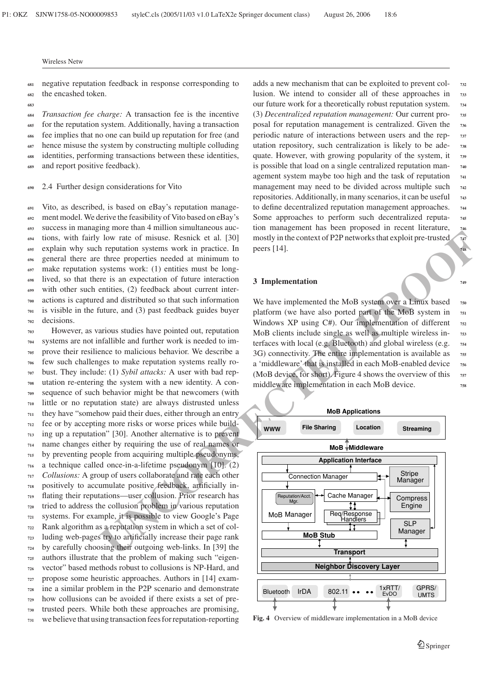**<sup>681</sup>** negative reputation feedback in response corresponding to **<sup>682</sup>** the encashed token.

**683**

 *Transaction fee charge:* A transaction fee is the incentive for the reputation system. Additionally, having a transaction fee implies that no one can build up reputation for free (and hence misuse the system by constructing multiple colluding identities, performing transactions between these identities, and report positive feedback).

**<sup>690</sup>** 2.4 Further design considerations for Vito

 Vito, as described, is based on eBay's reputation manage- ment model. We derive the feasibility of Vito based on eBay's success in managing more than 4 million simultaneous auc- tions, with fairly low rate of misuse. Resnick et al. [30] explain why such reputation systems work in practice. In general there are three properties needed at minimum to make reputation systems work: (1) entities must be long- lived, so that there is an expectation of future interaction with other such entities, (2) feedback about current inter- actions is captured and distributed so that such information is visible in the future, and (3) past feedback guides buyer decisions.

I ow rate of missise. Results at al. 130] mostly in the context of P2P networks that exploit pre-trusted are proporties needs of a precise. In peers [14].<br>
three properties needs at minimum to<br>
three properties needs at m However, as various studies have pointed out, reputation systems are not infallible and further work is needed to im- prove their resilience to malicious behavior. We describe a few such challenges to make reputation systems really ro- bust. They include: (1) *Sybil attacks:* A user with bad rep- utation re-entering the system with a new identity. A con- sequence of such behavior might be that newcomers (with little or no reputation state) are always distrusted unless they have "somehow paid their dues, either through an entry fee or by accepting more risks or worse prices while build- ing up a reputation" [30]. Another alternative is to prevent name changes either by requiring the use of real names or by preventing people from acquiring multiple pseudonyms, a technique called once-in-a-lifetime pseudonym [10]. (2) *Collusions:* A group of users collaborate and rate each other positively to accumulate positive feedback, artificially in- flating their reputations—user collusion. Prior research has tried to address the collusion problem in various reputation systems. For example, it is possible to view Google's Page Rank algorithm as a reputation system in which a set of col- luding web-pages try to artificially increase their page rank by carefully choosing their outgoing web-links. In [39] the authors illustrate that the problem of making such "eigen- vector" based methods robust to collusions is NP-Hard, and propose some heuristic approaches. Authors in [14] exam- ine a similar problem in the P2P scenario and demonstrate how collusions can be avoided if there exists a set of pre- trusted peers. While both these approaches are promising, we believe that using transaction fees for reputation-reporting

adds a new mechanism that can be exploited to prevent col- **<sup>732</sup>** lusion. We intend to consider all of these approaches in **<sup>733</sup>** our future work for a theoretically robust reputation system. **<sup>734</sup>** (3) *Decentralized reputation management:* Our current pro- **<sup>735</sup>** posal for reputation management is centralized. Given the **<sup>736</sup>** periodic nature of interactions between users and the rep- **<sup>737</sup>** utation repository, such centralization is likely to be ade- **<sup>738</sup>** quate. However, with growing popularity of the system, it **<sup>739</sup>** is possible that load on a single centralized reputation management system maybe too high and the task of reputation **<sup>741</sup>** management may need to be divided across multiple such **<sup>742</sup>** repositories. Additionally, in many scenarios, it can be useful **<sup>743</sup>** to define decentralized reputation management approaches. **<sup>744</sup>** Some approaches to perform such decentralized reputa- **<sup>745</sup>** tion management has been proposed in recent literature, **<sup>746</sup>** mostly in the context of P2P networks that exploit pre-trusted **<sup>747</sup>** peers [14].

# **3 Implementation <sup>749</sup>**

We have implemented the MoB system over a Linux based  $\frac{750}{750}$ platform (we have also ported part of the MoB system in **<sup>751</sup>** Windows XP using C#). Our implementation of different  $\frac{752}{752}$ MoB clients include single as well as multiple wireless interfaces with local (e.g. Bluetooth) and global wireless (e.g. **<sup>754</sup>** 3G) connectivity. The entire implementation is available as **<sup>755</sup>** a 'middleware' that is installed in each MoB-enabled device **<sup>756</sup>** (MoB device, for short). Figure 4 shows the overview of this **<sup>757</sup>** middleware implementation in each MoB device. **<sup>758</sup>**



**Fig. 4** Overview of middleware implementation in a MoB device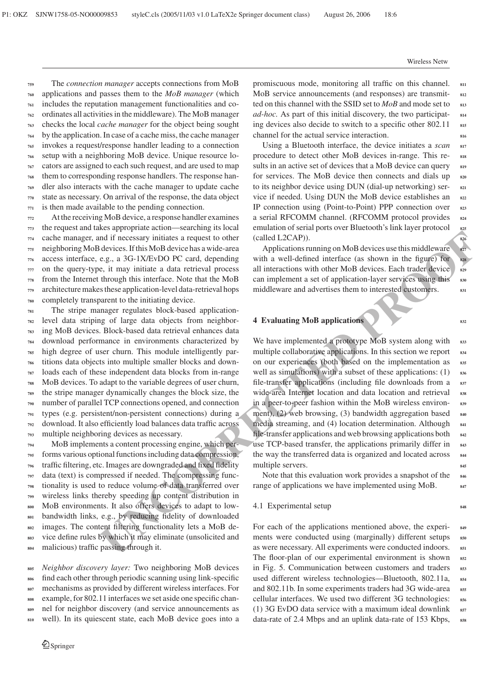The *connection manager* accepts connections from MoB applications and passes them to the *MoB manager* (which includes the reputation management functionalities and co- ordinates all activities in the middleware). The MoB manager checks the local *cache manager* for the object being sought by the application. In case of a cache miss, the cache manager invokes a request/response handler leading to a connection setup with a neighboring MoB device. Unique resource lo- cators are assigned to each such request, and are used to map them to corresponding response handlers. The response han- dler also interacts with the cache manager to update cache state as necessary. On arrival of the response, the data object is then made available to the pending connection.

 At the receiving MoB device, a response handler examines the request and takes appropriate action—searching its local cache manager, and if necessary initiates a request to other neighboring MoB devices. If this MoB device has a wide-area access interface, e.g., a 3G-1X/EvDO PC card, depending on the query-type, it may initiate a data retrieval process from the Internet through this interface. Note that the MoB architecture makes these application-level data-retrieval hops completely transparent to the initiating device.

The stripe manager regulates block-based application- level data striping of large data objects from neighbor- ing MoB devices. Block-based data retrieval enhances data download performance in environments characterized by high degree of user churn. This module intelligently par- titions data objects into multiple smaller blocks and down- loads each of these independent data blocks from in-range MoB devices. To adapt to the variable degrees of user churn, the stripe manager dynamically changes the block size, the number of parallel TCP connections opened, and connection types (e.g. persistent/non-persistent connections) during a download. It also efficiently load balances data traffic across multiple neighboring devices as necessary.

 MoB implements a content processing engine, which per- forms various optional functions including data compression, traffic filtering, etc. Images are downgraded and fixed fidelity data (text) is compressed if needed. The compressing func- tionality is used to reduce volume of data transferred over wireless links thereby speeding up content distribution in MoB environments. It also offers devices to adapt to low- bandwidth links, e.g., by reducing fidelity of downloaded images. The content filtering functionality lets a MoB de- vice define rules by which it may eliminate (unsolicited and malicious) traffic passing through it.

 *Neighbor discovery layer:* Two neighboring MoB devices find each other through periodic scanning using link-specific mechanisms as provided by different wireless interfaces. For example, for 802.11 interfaces we set aside one specific chan- nel for neighbor discovery (and service announcements as well). In its quiescent state, each MoB device goes into a

## Wireless Netw

promiscuous mode, monitoring all traffic on this channel. **<sup>811</sup>** MoB service announcements (and responses) are transmit- **<sup>812</sup>** ted on this channel with the SSID set to *MoB* and mode set to **<sup>813</sup>** *ad-hoc.* As part of this initial discovery, the two participat- **<sup>814</sup>** ing devices also decide to switch to a specific other 802.11 **815** channel for the actual service interaction. **<sup>816</sup>**

Using a Bluetooth interface, the device initiates a *scan* **817** procedure to detect other MoB devices in-range. This re- **<sup>818</sup>** sults in an active set of devices that a MoB device can query **819** for services. The MoB device then connects and dials up **<sup>820</sup>** to its neighbor device using DUN (dial-up networking) ser- **<sup>821</sup>** vice if needed. Using DUN the MoB device establishes an **<sup>822</sup>** IP connection using (Point-to-Point) PPP connection over **<sup>823</sup>** a serial RFCOMM channel. (RFCOMM protocol provides **<sup>824</sup>** emulation of serial ports over Bluetooth's link layer protocol **825** (called L2CAP)). **<sup>826</sup>**

Applications running on MoB devices use this middleware **<sup>827</sup>** with a well-defined interface (as shown in the figure) for **828** all interactions with other MoB devices. Each trader device **<sup>829</sup>** can implement a set of application-layer services using this **830** middleware and advertises them to interested customers.  $\qquad$  831

# **4 Evaluating MoB applications <sup>832</sup>**

**nd** if necessary initiates a request to other<br>
device a realistic of the mass of the content of the content of the spin content of the spin content of the spin content in a vertex of the spin of the set of the spin of th We have implemented a prototype MoB system along with  $\frac{833}{2}$ multiple collaborative applications. In this section we report **834** on our experiences (both based on the implementation as **<sup>835</sup>** well as simulations) with a subset of these applications: (1) **836** file-transfer applications (including file downloads from a **<sup>837</sup>** wide-area Internet location and data location and retrieval s38 in a peer-to-peer fashion within the MoB wireless environ- **<sup>839</sup>** ment), (2) web browsing, (3) bandwidth aggregation based  $\frac{1}{840}$ media streaming, and (4) location determination. Although  $\frac{1}{841}$ file-transfer applications and web browsing applications both **<sup>842</sup>** use TCP-based transfer, the applications primarily differ in **<sup>843</sup>** the way the transferred data is organized and located across **<sup>844</sup>** multiple servers.

Note that this evaluation work provides a snapshot of the **<sup>846</sup>** range of applications we have implemented using MoB.  $\begin{array}{c} \text{847} \\ \text{847} \end{array}$ 

# 4.1 Experimental setup **<sup>848</sup>**

For each of the applications mentioned above, the experi- **<sup>849</sup>** ments were conducted using (marginally) different setups **850** as were necessary. All experiments were conducted indoors. **<sup>851</sup>** The floor-plan of our experimental environment is shown **852** in Fig. 5. Communication between customers and traders **<sup>853</sup>** used different wireless technologies—Bluetooth, 802.11a, **<sup>854</sup>** and 802.11b. In some experiments traders had 3G wide-area cellular interfaces. We used two different 3G technologies: **<sup>856</sup>** (1) 3G EvDO data service with a maximum ideal downlink **<sup>857</sup>** data-rate of 2.4 Mbps and an uplink data-rate of 153 Kbps,  $858$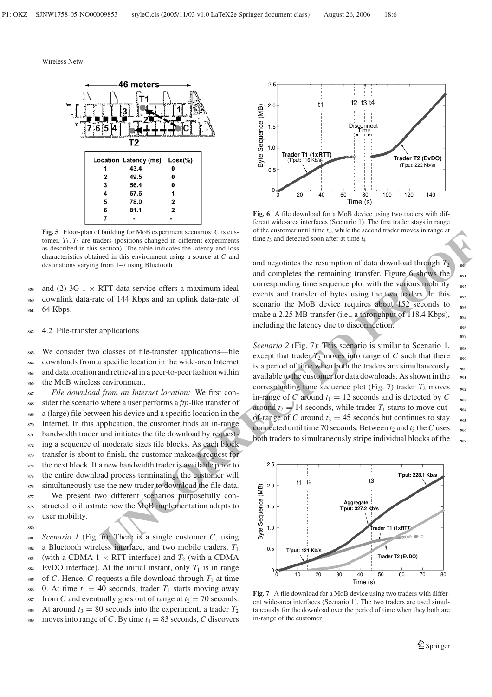

**Fig. 5** Floor-plan of building for MoB experiment scenarios. *C* is customer,  $T_1$ ,  $T_2$  are traders (positions changed in different experiments as described in this section). The table indicates the latency and loss characteristics obtained in this environment using a source at *C* and destinations varying from 1–7 using Bluetooth

 $\frac{1}{859}$  and (2) 3G 1  $\times$  RTT data service offers a maximum ideal **<sup>860</sup>** downlink data-rate of 144 Kbps and an uplink data-rate of **<sup>861</sup>** 64 Kbps.

**<sup>862</sup>** 4.2 File-transfer applications

**880**

 We consider two classes of file-transfer applications—file downloads from a specific location in the wide-area Internet and data location and retrieval in a peer-to-peer fashion within the MoB wireless environment.

 *File download from an Internet location:* We first con- sider the scenario where a user performs a *ftp*-like transfer of a (large) file between his device and a specific location in the Internet. In this application, the customer finds an in-range bandwidth trader and initiates the file download by request- ing a sequence of moderate sizes file blocks. As each block transfer is about to finish, the customer makes a request for the next block. If a new bandwidth trader is available prior to the entire download process terminating, the customer will simultaneously use the new trader to download the file data.

We present two different scenarios purposefully con-**<sup>878</sup>** structed to illustrate how the MoB implementation adapts to **<sup>879</sup>** user mobility.

 *Scenario 1* (Fig. 6): There is a single customer *C*, using a Bluetooth wireless interface, and two mobile traders, *T*<sup>1</sup> (with a CDMA  $1 \times RTT$  interface) and  $T_2$  (with a CDMA EvDO interface). At the initial instant, only  $T_1$  is in range of *C*. Hence, *C* requests a file download through  $T_1$  at time 0. At time  $t_1 = 40$  seconds, trader  $T_1$  starts moving away from *C* and eventually goes out of range at  $t_2 = 70$  seconds. 888 At around  $t_3 = 80$  seconds into the experiment, a trader  $T_2$ 889 moves into range of *C*. By time  $t_4 = 83$  seconds, *C* discovers



**Fig. 6** A file download for a MoB device using two traders with different wide-area interfaces (Scenario 1). The first trader stays in range of the customer until time *t*2, while the second trader moves in range at time  $t_3$  and detected soon after at time  $t_4$ 

and negotiates the resumption of data download through  $T_2$ and completes the remaining transfer. Figure 6 shows the corresponding time sequence plot with the various mobility  $\frac{1}{892}$ events and transfer of bytes using the two traders. In this  $\mathbf{s}_0$ scenario the MoB device requires about 152 seconds to make a 2.25 MB transfer (i.e., a throughput of 118.4 Kbps),  $\frac{1}{2}$ including the latency due to disconnection.

mathe incorrect to exact the theorem and the specific bottomagnetic contains the state of the theorem and the state of the state of the state of the state of the state of the state of the state in the state in the state o *Scenario 2* (Fig. 7): This scenario is similar to Scenario 1, except that trader  $T_2$  moves into range of *C* such that there  $\frac{899}{899}$ is a period of time when both the traders are simultaneously  $\frac{900}{200}$ available to the customer for data downloads. As shown in the **901** corresponding time sequence plot (Fig. 7) trader  $T_2$  moves  $\theta$ in-range of *C* around  $t_1 = 12$  seconds and is detected by  $C_{903}$ around  $t_2 = 14$  seconds, while trader  $T_1$  starts to move outof-range of *C* around  $t_3 = 45$  seconds but continues to stay connected until time 70 seconds. Between  $t_2$  and  $t_3$  the C uses both traders to simultaneously stripe individual blocks of the <sub>907</sub>



**Fig. 7** A file download for a MoB device using two traders with different wide-area interfaces (Scenario 1). The two traders are used simultaneously for the download over the period of time when they both are in-range of the customer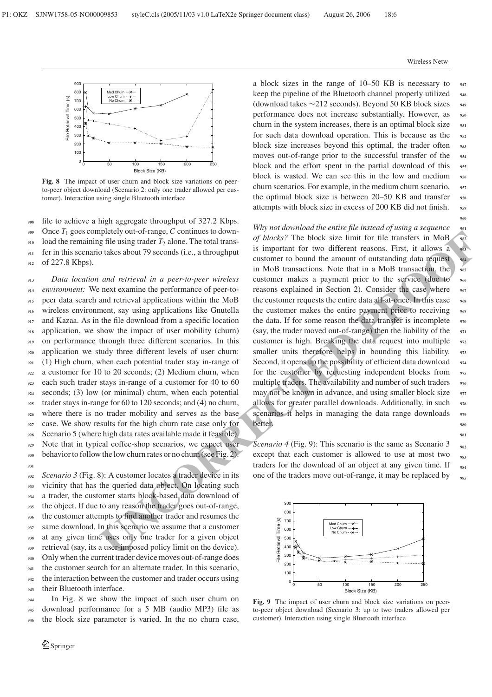

**Fig. 8** The impact of user churn and block size variations on peerto-peer object download (Scenario 2: only one trader allowed per customer). Interaction using single Bluetooth interface

file to achieve a high aggregate throughput of 327.2 Kbps. Once  $T_1$  goes completely out-of-range,  $C$  continues to down- $_{910}$  load the remaining file using trader  $T_2$  alone. The total trans-**<sup>911</sup>** fer in this scenario takes about 79 seconds (i.e., a throughput **<sup>912</sup>** of 227.8 Kbps).

 *Data location and retrieval in a peer-to-peer wireless environment:* We next examine the performance of peer-to- peer data search and retrieval applications within the MoB wireless environment, say using applications like Gnutella and Kazaa. As in the file download from a specific location application, we show the impact of user mobility (churn) on performance through three different scenarios. In this application we study three different levels of user churn: (1) High churn, when each potential trader stay in-range of a customer for 10 to 20 seconds; (2) Medium churn, when each such trader stays in-range of a customer for 40 to 60 seconds; (3) low (or minimal) churn, when each potential trader stays in-range for 60 to 120 seconds; and (4) no churn, where there is no trader mobility and serves as the base case. We show results for the high churn rate case only for Scenario 5 (where high data rates available made it feasible). Note that in typical coffee-shop scenarios, we expect user behavior to follow the low churn rates or no churn (see Fig. 2). **931**

 *Scenario 3* (Fig. 8): A customer locates a trader device in its vicinity that has the queried data object. On locating such a trader, the customer starts block-based data download of the object. If due to any reason the trader goes out-of-range, the customer attempts to find another trader and resumes the same download. In this scenario we assume that a customer at any given time uses only one trader for a given object retrieval (say, its a user-imposed policy limit on the device). Only when the current trader device moves out-of-range does the customer search for an alternate trader. In this scenario, the interaction between the customer and trader occurs using their Bluetooth interface.

**<sup>944</sup>** In Fig. 8 we show the impact of such user churn on **<sup>945</sup>** download performance for a 5 MB (audio MP3) file as **<sup>946</sup>** the block size parameter is varied. In the no churn case,

#### Wireless Netw

**960**

**981**

a block sizes in the range of 10–50 KB is necessary to **<sup>947</sup>** keep the pipeline of the Bluetooth channel properly utilized **<sup>948</sup>** (download takes ∼212 seconds). Beyond 50 KB block sizes **<sup>949</sup>** performance does not increase substantially. However, as **<sup>950</sup>** churn in the system increases, there is an optimal block size **<sup>951</sup>** for such data download operation. This is because as the **<sup>952</sup>** block size increases beyond this optimal, the trader often **953** moves out-of-range prior to the successful transfer of the **<sup>954</sup>** block and the effort spent in the partial download of this **955** block is wasted. We can see this in the low and medium **<sup>956</sup>** churn scenarios. For example, in the medium churn scenario, **<sup>957</sup>** the optimal block size is between 20–50 KB and transfer **<sup>958</sup>** attempts with block size in excess of 200 KB did not finish. **<sup>959</sup>**

phearing various than the communistation of the books? The block size limit for the transfers in MoB spin time of  $phodes$ ? The block size limit for the transfers in MoB spin time of the contract resource to both different re *Why not download the entire file instead of using a sequence* s<sub>961</sub> *of blocks?* The block size limit for file transfers in MoB **<sup>962</sup>** is important for two different reasons. First, it allows a customer to bound the amount of outstanding data request in MoB transactions. Note that in a MoB transaction, the **<sup>965</sup>** customer makes a payment prior to the service (due to **<sup>966</sup>** reasons explained in Section 2). Consider the case where **<sup>967</sup>** the customer requests the entire data all-at-once. In this case **<sup>968</sup>** the customer makes the entire payment prior to receiving the data. If for some reason the data transfer is incomplete **<sup>970</sup>** (say, the trader moved out-of-range) then the liability of the **<sup>971</sup>** customer is high. Breaking the data request into multiple **<sup>972</sup>** smaller units therefore helps in bounding this liability.  $973$ Second, it opens up the possibility of efficient data download **<sup>974</sup>** for the customer by requesting independent blocks from **<sup>975</sup>** multiple traders. The availability and number of such traders **976** may not be known in advance, and using smaller block size **<sup>977</sup>** allows for greater parallel downloads. Additionally, in such **<sup>978</sup>** scenarios it helps in managing the data range downloads **979** better. **980** 

*Scenario 4* (Fig. 9): This scenario is the same as Scenario 3  $_{982}$ except that each customer is allowed to use at most two  $\frac{983}{983}$ traders for the download of an object at any given time. If **<sup>984</sup>** one of the traders move out-of-range, it may be replaced by **<sup>985</sup>**



**Fig. 9** The impact of user churn and block size variations on peerto-peer object download (Scenario 3: up to two traders allowed per customer). Interaction using single Bluetooth interface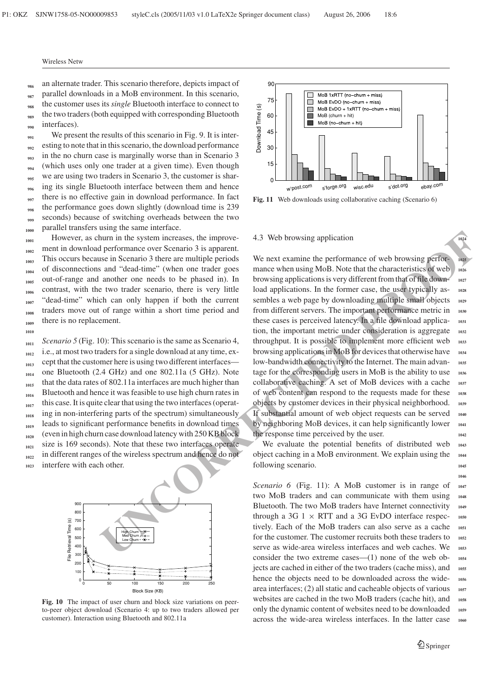**1010**

an alternate trader. This scenario therefore, depicts impact of **<sup>986</sup>** parallel downloads in a MoB environment. In this scenario, **<sup>987</sup> <sup>988</sup>** the customer uses its *single* Bluetooth interface to connect to **<sup>989</sup>** the two traders (both equipped with corresponding Bluetooth <sub>990</sub> interfaces).

We present the results of this scenario in Fig. 9. It is inter-<sup>992</sup> esting to note that in this scenario, the download performance <sup>993</sup> in the no churn case is marginally worse than in Scenario 3 <sup>994</sup> (which uses only one trader at a given time). Even though we are using two traders in Scenario 3, the customer is shar-<sup>996</sup> ing its single Bluetooth interface between them and hence there is no effective gain in download performance. In fact **<sup>997</sup>** the performance goes down slightly (download time is 239) <sub>999</sub> seconds) because of switching overheads between the two <sub>1000</sub> parallel transfers using the same interface.

However, as churn in the system increases, the improvement in download performance over Scenario 3 is apparent. **<sup>1002</sup>** This occurs because in Scenario 3 there are multiple periods **<sup>1003</sup>** <sub>1004</sub> of disconnections and "dead-time" (when one trader goes **<sup>1005</sup>** out-of-range and another one needs to be phased in). In **<sup>1006</sup>** contrast, with the two trader scenario, there is very little <sup>1007</sup> "dead-time" which can only happen if both the current **<sup>1008</sup>** traders move out of range within a short time period and there is no replacement. **<sup>1009</sup>**

**Scenario 5** (Fig. 10): This scenario is the same as Scenario 4, i.e., at most two traders for a single download at any time, ex-<sub>1013</sub> cept that the customer here is using two different interfaces-**<sup>1014</sup>** one Bluetooth (2.4 GHz) and one 802.11a (5 GHz). Note that the data rates of 802.11a interfaces are much higher than **1016** Bluetooth and hence it was feasible to use high churn rates in this case. It is quite clear that using the two interfaces (operat-**<sup>1018</sup>** ing in non-interfering parts of the spectrum) simultaneously leads to significant performance benefits in download times **<sup>1019</sup> <sup>1020</sup>** (even in high churn case download latency with 250 KB block **<sup>1021</sup>** size is 169 seconds). Note that these two interfaces operate in different ranges of the wireless spectrum and hence do not **<sup>1023</sup>** interfere with each other.



**Fig. 10** The impact of user churn and block size variations on peerto-peer object download (Scenario 4: up to two traders allowed per customer). Interaction using Bluetooth and 802.11a



**Fig. 11** Web downloads using collaborative caching (Scenario 6)

#### 4.3 Web browsing application

**EXERED increases, the improve-** 4.5 Web browsing application<br>
performance over Senatrio 3 is apparent.<br>
Separation is experimented by extert examine the performance of web browsing performance<br>
and "deal-dimension is for We next examine the performance of web browsing performance when using MoB. Note that the characteristics of web 1026 browsing applications is very different from that of file down- **<sup>1027</sup>** load applications. In the former case, the user typically assembles a web page by downloading multiple small objects **1029** from different servers. The important performance metric in 103 these cases is perceived latency. In a file download applica- **<sup>1031</sup>** tion, the important metric under consideration is aggregate **<sup>1032</sup>** throughput. It is possible to implement more efficient web **<sup>1033</sup>** browsing applications in MoB for devices that otherwise have **<sup>1034</sup>** low-bandwidth connectivity to the Internet. The main advan- **<sup>1035</sup>** tage for the corresponding users in MoB is the ability to use **<sup>1036</sup>** collaborative caching. A set of MoB devices with a cache **<sup>1037</sup>** of web content can respond to the requests made for these **<sup>1038</sup>** objects by customer devices in their physical neighborhood. **<sup>1039</sup>** If substantial amount of web object requests can be served **<sup>1040</sup>** by neighboring MoB devices, it can help significantly lower **<sup>1041</sup>** the response time perceived by the user. **<sup>1042</sup>**

We evaluate the potential benefits of distributed web 1043 object caching in a MoB environment. We explain using the **<sup>1044</sup>** following scenario. **1045** 

*Scenario 6* (Fig. 11): A MoB customer is in range of **<sup>1047</sup>** two MoB traders and can communicate with them using **<sup>1048</sup>** Bluetooth. The two MoB traders have Internet connectivity **<sup>1049</sup>** through a 3G  $1 \times RTT$  and a 3G EvDO interface respectively. Each of the MoB traders can also serve as a cache **<sup>1051</sup>** for the customer. The customer recruits both these traders to **<sup>1052</sup>** serve as wide-area wireless interfaces and web caches. We 105 consider the two extreme cases—(1) none of the web ob- **<sup>1054</sup>** jects are cached in either of the two traders (cache miss), and 1055 hence the objects need to be downloaded across the widearea interfaces; (2) all static and cacheable objects of various **<sup>1057</sup>** websites are cached in the two MoB traders (cache hit), and 1058 only the dynamic content of websites need to be downloaded **<sup>1059</sup>** across the wide-area wireless interfaces. In the latter case 1060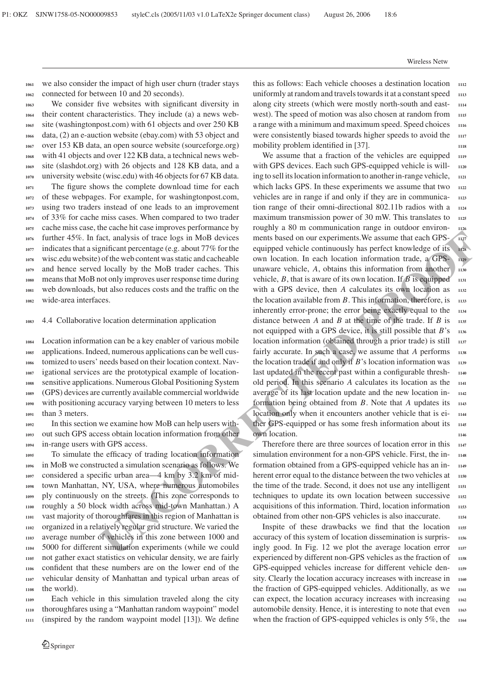P1: OKZ SJNW1758-05-NO00009853 styleC.cls (2005/11/03 v1.0 LaTeX2e Springer document class) August 26, 2006 18:6

**<sup>1061</sup>** we also consider the impact of high user churn (trader stays **<sup>1062</sup>** connected for between 10 and 20 seconds).

 We consider five websites with significant diversity in their content characteristics. They include (a) a news web- site (washingtonpost.com) with 61 objects and over 250 KB data, (2) an e-auction website (ebay.com) with 53 object and over 153 KB data, an open source website (sourceforge.org) with 41 objects and over 122 KB data, a technical news web- site (slashdot.org) with 26 objects and 128 KB data, and a university website (wisc.edu) with 46 objects for 67 KB data. The figure shows the complete download time for each of these webpages. For example, for washingtonpost.com, using two traders instead of one leads to an improvement of 33% for cache miss cases. When compared to two trader cache miss case, the cache hit case improves performance by further 45%. In fact, analysis of trace logs in MoB devices indicates that a significant percentage (e.g. about 77% for the wisc.edu website) of the web content was static and cacheable and hence served locally by the MoB trader caches. This means that MoB not only improves user response time during web downloads, but also reduces costs and the traffic on the

**<sup>1082</sup>** wide-area interfaces.

# **<sup>1083</sup>** 4.4 Collaborative location determination application

 Location information can be a key enabler of various mobile applications. Indeed, numerous applications can be well cus- tomized to users' needs based on their location context. Nav- igational services are the prototypical example of location- sensitive applications. Numerous Global Positioning System (GPS) devices are currently available commercial worldwide with positioning accuracy varying between 10 meters to less than 3 meters.

**<sup>1092</sup>** In this section we examine how MoB can help users with-**<sup>1093</sup>** out such GPS access obtain location information from other **<sup>1094</sup>** in-range users with GPS access.

 To simulate the efficacy of trading location information in MoB we constructed a simulation scenario as follows. We considered a specific urban area—4 km by 3.2 km of mid- town Manhattan, NY, USA, where numerous automobiles ply continuously on the streets. (This zone corresponds to roughly a 50 block width across mid-town Manhattan.) A vast majority of thoroughfares in this region of Manhattan is organized in a relatively regular grid structure. We varied the average number of vehicles in this zone between 1000 and 5000 for different simulation experiments (while we could not gather exact statistics on vehicular density, we are fairly confident that these numbers are on the lower end of the vehicular density of Manhattan and typical urban areas of the world).

**<sup>1109</sup>** Each vehicle in this simulation traveled along the city **<sup>1110</sup>** thoroughfares using a "Manhattan random waypoint" model **<sup>1111</sup>** (inspired by the random waypoint model [13]). We define

 $\mathfrak{D}$  Springer

this as follows: Each vehicle chooses a destination location **<sup>1112</sup>** uniformly at random and travels towards it at a constant speed **1113** along city streets (which were mostly north-south and east- **<sup>1114</sup>** west). The speed of motion was also chosen at random from **1115** a range with a minimum and maximum speed. Speed choices **<sup>1116</sup>** were consistently biased towards higher speeds to avoid the **1117** mobility problem identified in [37].

**not.** analysis of trace logs in MoB devices means based on our experiments We assume that each GPS can<br>infinite precentes (e.g. about 77% for the equipped vehicle continuously has perform known to equiliby the bottom (o We assume that a fraction of the vehicles are equipped  $_{1119}$ with GPS devices. Each such GPS-equipped vehicle is willing to sell its location information to another in-range vehicle, **<sup>1121</sup>** which lacks GPS. In these experiments we assume that two **1122** vehicles are in range if and only if they are in communica- **<sup>1123</sup>** tion range of their omni-directional 802.11b radios with a **<sup>1124</sup>** maximum transmission power of 30 mW. This translates to **1125** roughly a 80 m communication range in outdoor environ- **<sup>1126</sup>** ments based on our experiments. We assume that each GPS- **1127** equipped vehicle continuously has perfect knowledge of its **<sup>1128</sup>** own location. In each location information trade, a GPS- **<sup>1129</sup>** unaware vehicle, *A*, obtains this information from another **1130** vehicle, *B*, that is aware of its own location. If  $\overline{B}$  is equipped 1131 with a GPS device, then *A* calculates its own location as  $_{1132}$ the location available from  $B$ . This information, therefore, is  $_{1133}$ inherently error-prone; the error being exactly equal to the **1134** distance between *A* and *B* at the time of the trade. If *B* is  $1135$ not equipped with a GPS device, it is still possible that *B*'s 1136 location information (obtained through a prior trade) is still 1137 fairly accurate. In such a case, we assume that *A* performs **1138** the location trade if and only if *B*'s location information was **<sup>1139</sup>** last updated in the recent past within a configurable thresh- **<sup>1140</sup>** old period. In this scenario *A* calculates its location as the **<sup>1141</sup>** average of its last location update and the new location in- **<sup>1142</sup>** formation being obtained from *B*. Note that *A* updates its **<sup>1143</sup>** location only when it encounters another vehicle that is ei-<br> $1144$ ther GPS-equipped or has some fresh information about its **1145** own location.

Therefore there are three sources of location error in this **<sup>1147</sup>** simulation environment for a non-GPS vehicle. First, the in- **<sup>1148</sup>** formation obtained from a GPS-equipped vehicle has an in- **<sup>1149</sup>** herent error equal to the distance between the two vehicles at **1150** the time of the trade. Second, it does not use any intelligent **<sup>1151</sup>** techniques to update its own location between successive **<sup>1152</sup>** acquisitions of this information. Third, location information **<sup>1153</sup>** obtained from other non-GPS vehicles is also inaccurate. **<sup>1154</sup>**

Inspite of these drawbacks we find that the location **1155** accuracy of this system of location dissemination is surpris- **<sup>1156</sup>** ingly good. In Fig. 12 we plot the average location error **1157** experienced by different non-GPS vehicles as the fraction of **<sup>1158</sup>** GPS-equipped vehicles increase for different vehicle den- **<sup>1159</sup>** sity. Clearly the location accuracy increases with increase in **<sup>1160</sup>** the fraction of GPS-equipped vehicles. Additionally, as we **<sup>1161</sup>** can expect, the location accuracy increases with increasing 1162 automobile density. Hence, it is interesting to note that even **<sup>1163</sup>** when the fraction of GPS-equipped vehicles is only 5%, the 1164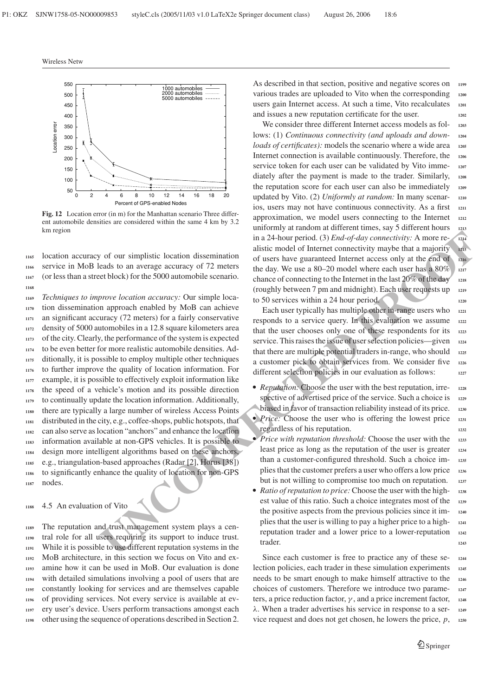

**1168**



**Fig. 12** Location error (in m) for the Manhattan scenario Three different automobile densities are considered within the same 4 km by 3.2 km region

**<sup>1165</sup>** location accuracy of our simplistic location dissemination **<sup>1166</sup>** service in MoB leads to an average accuracy of 72 meters **<sup>1167</sup>** (or less than a street block) for the 5000 automobile scenario.

In a 24-hour period, (3) *End-of-day connectivity*: A more re-<br>
we of our simplistic location dissemination<br>
alisis model of therest connectivity may be that a majority<br>
each to an average accuracy of 72 meters<br>
of thes *Techniques to improve location accuracy:* Our simple loca- tion dissemination approach enabled by MoB can achieve an significant accuracy (72 meters) for a fairly conservative density of 5000 automobiles in a 12.8 square kilometers area of the city. Clearly, the performance of the system is expected to be even better for more realistic automobile densities. Ad- ditionally, it is possible to employ multiple other techniques to further improve the quality of location information. For example, it is possible to effectively exploit information like the speed of a vehicle's motion and its possible direction to continually update the location information. Additionally, there are typically a large number of wireless Access Points distributed in the city, e.g., coffee-shops, public hotspots, that can also serve as location "anchors" and enhance the location information available at non-GPS vehicles. It is possible to design more intelligent algorithms based on these anchors, e.g., triangulation-based approaches (Radar [2], Horus [38]) to significantly enhance the quality of location for non-GPS **<sup>1187</sup>** nodes.

# **<sup>1188</sup>** 4.5 An evaluation of Vito

 The reputation and trust management system plays a cen- tral role for all users requiring its support to induce trust. While it is possible to use different reputation systems in the MoB architecture, in this section we focus on Vito and ex- amine how it can be used in MoB. Our evaluation is done with detailed simulations involving a pool of users that are constantly looking for services and are themselves capable of providing services. Not every service is available at ev- ery user's device. Users perform transactions amongst each other using the sequence of operations described in Section 2.

As described in that section, positive and negative scores on **1199** various trades are uploaded to Vito when the corresponding **<sup>1200</sup>** users gain Internet access. At such a time, Vito recalculates **<sup>1201</sup>** and issues a new reputation certificate for the user.

We consider three different Internet access models as follows: (1) *Continuous connectivity (and uploads and down-* **<sup>1204</sup>** *loads of certificates*): models the scenario where a wide area 1205 Internet connection is available continuously. Therefore, the **<sup>1206</sup>** service token for each user can be validated by Vito immediately after the payment is made to the trader. Similarly, **<sup>1208</sup>** the reputation score for each user can also be immediately **<sup>1209</sup>** updated by Vito. (2) *Uniformly at random:* In many scenar- **<sup>1210</sup>** ios, users may not have continuous connectivity. As a first **<sup>1211</sup>** approximation, we model users connecting to the Internet **<sup>1212</sup>** uniformly at random at different times, say 5 different hours **<sup>1213</sup>** in a 24-hour period. (3) *End-of-day connectivity:* A more re- **<sup>1214</sup>** alistic model of Internet connectivity maybe that a majority **<sup>1215</sup>** of users have guaranteed Internet access only at the end of **<sup>1216</sup>** the day. We use a 80–20 model where each user has a 80% **<sup>1217</sup>** chance of connecting to the Internet in the last 20% of the day **<sup>1218</sup>** (roughly between 7 pm and midnight). Each user requests up **<sup>1219</sup>** to 50 services within a 24 hour period.

Each user typically has multiple other in-range users who **1221** responds to a service query. In this evaluation we assume **<sup>1222</sup>** that the user chooses only one of these respondents for its **<sup>1223</sup>** service. This raises the issue of user selection policies—given **<sup>1224</sup>** that there are multiple potential traders in-range, who should 1225 a customer pick to obtain services from. We consider five **<sup>1226</sup>** different selection policies in our evaluation as follows: 1227

- *Reputation:* Choose the user with the best reputation, irre- **<sup>1228</sup>** spective of advertised price of the service. Such a choice is **1229**
- biased in favor of transaction reliability instead of its price. **<sup>1230</sup>** *Price:* Choose the user who is offering the lowest price **<sup>1231</sup>** regardless of his reputation. **<sup>1232</sup>**
- *Price with reputation threshold:* Choose the user with the **<sup>1233</sup>** least price as long as the reputation of the user is greater **<sup>1234</sup>** than a customer-configured threshold. Such a choice im- **<sup>1235</sup>** plies that the customer prefers a user who offers a low price **<sup>1236</sup>** but is not willing to compromise too much on reputation. **<sup>1237</sup>**
- *Ratio of reputation to price:* Choose the user with the high- **<sup>1238</sup>** est value of this ratio. Such a choice integrates most of the **<sup>1239</sup>** the positive aspects from the previous policies since it im- **<sup>1240</sup>** plies that the user is willing to pay a higher price to a high- **<sup>1241</sup>** reputation trader and a lower price to a lower-reputation **<sup>1242</sup>** trader. **<sup>1243</sup>**

Since each customer is free to practice any of these se- **<sup>1244</sup>** lection policies, each trader in these simulation experiments **<sup>1245</sup>** needs to be smart enough to make himself attractive to the **<sup>1246</sup>** choices of customers. Therefore we introduce two parame- **<sup>1247</sup>** ters, a price reduction factor,  $\gamma$ , and a price increment factor,  $\frac{1248}{2}$ λ. When a trader advertises his service in response to a ser- **<sup>1249</sup>** vice request and does not get chosen, he lowers the price, *p*, **<sup>1250</sup>**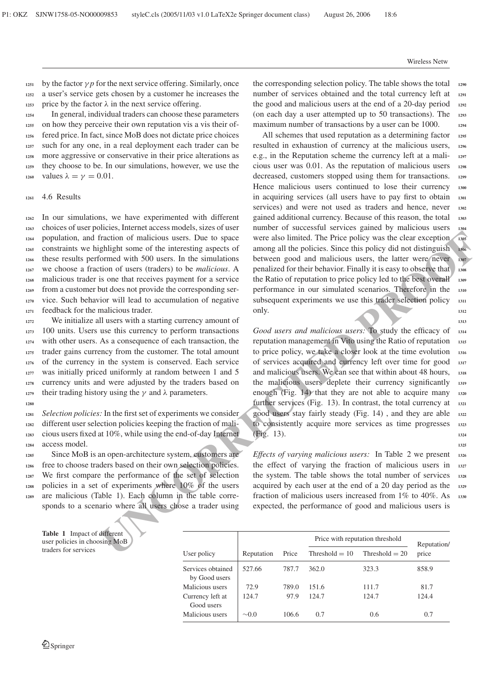In general, individual traders can choose these parameters on how they perceive their own reputation vis a vis their of- fered price. In fact, since MoB does not dictate price choices such for any one, in a real deployment each trader can be more aggressive or conservative in their price alterations as they choose to be. In our simulations, however, we use the 1260 values  $\lambda = \gamma = 0.01$ .

# **<sup>1261</sup>** 4.6 Results

 In our simulations, we have experimented with different choices of user policies, Internet access models, sizes of user population, and fraction of malicious users. Due to space constraints we highlight some of the interesting aspects of these results performed with 500 users. In the simulations we choose a fraction of users (traders) to be *malicious*. A malicious trader is one that receives payment for a service from a customer but does not provide the corresponding ser- vice. Such behavior will lead to accumulation of negative feedback for the malicious trader.

 We initialize all users with a starting currency amount of 100 units. Users use this currency to perform transactions with other users. As a consequence of each transaction, the trader gains currency from the customer. The total amount of the currency in the system is conserved. Each service was initially priced uniformly at random between 1 and 5 currency units and were adjusted by the traders based on 1279 their trading history using the  $\gamma$  and  $\lambda$  parameters.

**1280**

 *Selection policies:* In the first set of experiments we consider different user selection policies keeping the fraction of mali- cious users fixed at 10%, while using the end-of-day Internet access model.

 Since MoB is an open-architecture system, customers are free to choose traders based on their own selection policies. We first compare the performance of the set of selection policies in a set of experiments where 10% of the users are malicious (Table 1). Each column in the table corresponds to a scenario where all users chose a trader using

the corresponding selection policy. The table shows the total **<sup>1290</sup>** number of services obtained and the total currency left at **<sup>1291</sup>** the good and malicious users at the end of a 20-day period **<sup>1292</sup>** (on each day a user attempted up to 50 transactions). The **<sup>1293</sup>** maximum number of transactions by a user can be 1000. <sup>129</sup>

All schemes that used reputation as a determining factor **1295** resulted in exhaustion of currency at the malicious users, **<sup>1296</sup>** e.g., in the Reputation scheme the currency left at a mali- **<sup>1297</sup>** cious user was 0.01. As the reputation of malicious users **<sup>1298</sup>** decreased, customers stopped using them for transactions. **<sup>1299</sup>** Hence malicious users continued to lose their currency 1300 in acquiring services (all users have to pay first to obtain **<sup>1301</sup>** services) and were not used as traders and hence, never **1302** gained additional currency. Because of this reason, the total **<sup>1303</sup>** number of successful services gained by malicious users **<sup>1304</sup>** were also limited. The Price policy was the clear exception 130 among all the policies. Since this policy did not distinguish **<sup>1306</sup>** between good and malicious users, the latter were never **<sup>1307</sup>** penalized for their behavior. Finally it is easy to observe that **<sup>1308</sup>** the Ratio of reputation to price policy led to the best overall **<sup>1309</sup>** performance in our simulated scenarios. Therefore in the **<sup>1310</sup>** subsequent experiments we use this trader selection policy **1311** only. **1312** 

Traction of malicious users. Due to space were also limited. The Price policy was the clear exception. An<br>expected that distinguish someoned of the interesting aspects of nameal the policies. Since this policy idd not dis *Good users and malicious users:* To study the efficacy of **<sup>1314</sup>** reputation management in Vito using the Ratio of reputation **<sup>1315</sup>** to price policy, we take a closer look at the time evolution **<sup>1316</sup>** of services acquired and currency left over time for good **<sup>1317</sup>** and malicious users. We can see that within about 48 hours, **<sup>1318</sup>** the malicious users deplete their currency significantly **<sup>1319</sup>** enough (Fig. 14) that they are not able to acquire many **1320** further services (Fig. 13). In contrast, the total currency at **<sup>1321</sup>** good users stay fairly steady (Fig. 14) , and they are able **<sup>1322</sup>** to consistently acquire more services as time progresses **<sup>1323</sup>** (Fig. 13). **<sup>1324</sup>**

*Effects of varying malicious users:* In Table 2 we present **<sup>1326</sup>** the effect of varying the fraction of malicious users in **<sup>1327</sup>** the system. The table shows the total number of services **<sup>1328</sup>** acquired by each user at the end of a 20 day period as the **<sup>1329</sup>** fraction of malicious users increased from 1% to 40%. As 1330 expected, the performance of good and malicious users is

|  | <b>Table 1</b> Impact of different |
|--|------------------------------------|
|  | user policies in choosing MoB      |
|  | traders for services               |

|                                    |            |       |                  | Price with reputation threshold | Reputation/ |
|------------------------------------|------------|-------|------------------|---------------------------------|-------------|
| User policy                        | Reputation | Price | Threshold $= 10$ | Threshold $= 20$                | price       |
| Services obtained<br>by Good users | 527.66     | 787.7 | 362.0            | 323.3                           | 858.9       |
| Malicious users                    | 72.9       | 789.0 | 151.6            | 111.7                           | 81.7        |
| Currency left at<br>Good users     | 124.7      | 97.9  | 124.7            | 124.7                           | 124.4       |
| Malicious users                    | $\sim 0.0$ | 106.6 | 0.7              | 0.6                             | 0.7         |

**1313**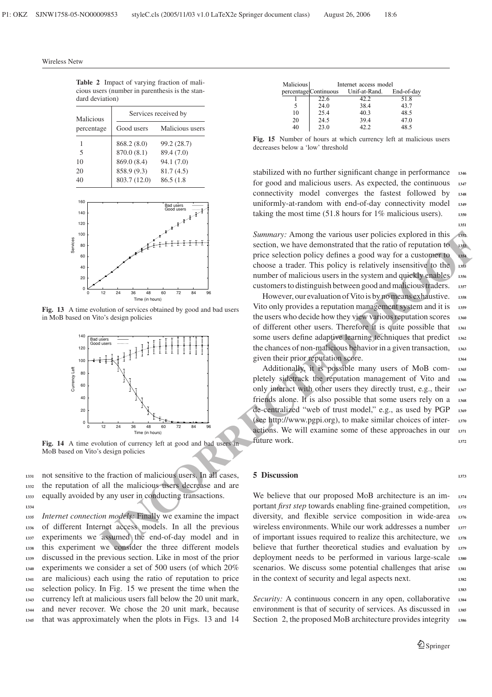**Table 2** Impact of varying fraction of malicious users (number in parenthesis is the standard deviation)

| Malicious      |              | Services received by |
|----------------|--------------|----------------------|
| percentage     | Good users   | Malicious users      |
| 1              | 868.2 (8.0)  | 99.2 (28.7)          |
| $\overline{5}$ | 870.0 (8.1)  | 89.4 (7.0)           |
| 10             | 869.0 (8.4)  | 94.1 (7.0)           |
| 20             | 858.9 (9.3)  | 81.7(4.5)            |
| 40             | 803.7 (12.0) | 86.5 (1.8)           |



**Fig. 13** A time evolution of services obtained by good and bad users in MoB based on Vito's design policies



**Fig. 14** A time evolution of currency left at good and bad users in MoB based on Vito's design policies

**<sup>1331</sup>** not sensitive to the fraction of malicious users. In all cases, **<sup>1332</sup>** the reputation of all the malicious users decrease and are **<sup>1333</sup>** equally avoided by any user in conducting transactions.

**1334**

 *Internet connection models:* Finally we examine the impact of different Internet access models. In all the previous experiments we assumed the end-of-day model and in this experiment we consider the three different models discussed in the previous section. Like in most of the prior experiments we consider a set of 500 users (of which 20% are malicious) each using the ratio of reputation to price selection policy. In Fig. 15 we present the time when the currency left at malicious users fall below the 20 unit mark, and never recover. We chose the 20 unit mark, because that was approximately when the plots in Figs. 13 and 14

| Malicious |                       | Internet access model |            |
|-----------|-----------------------|-----------------------|------------|
|           | percentage Continuous | Unif-at-Rand.         | End-of-day |
|           | 22.6                  | 42.2                  | 51.8       |
|           | 24.0                  | 38.4                  | 43.7       |
| 10        | 25.4                  | 40.3                  | 48.5       |
| 20        | 24.5                  | 39.4                  | 47.0       |
| 40        | 23.0                  | 19 I                  | 48 5       |

**Fig. 15** Number of hours at which currency left at malicious users decreases below a 'low' threshold

stabilized with no further significant change in performance **<sup>1346</sup>** for good and malicious users. As expected, the continuous **<sup>1347</sup>** connectivity model converges the fastest followed by **<sup>1348</sup>** uniformly-at-random with end-of-day connectivity model **<sup>1349</sup>** taking the most time (51.8 hours for 1% malicious users). 1350

*Summary:* Among the various user policies explored in this  $\overline{4352}$ section, we have demonstrated that the ratio of reputation to **<sup>1353</sup>** price selection policy defines a good way for a customer to **<sup>1354</sup>** choose a trader. This policy is relatively insensitive to the **<sup>1355</sup>** number of malicious users in the system and quickly enables 135 customers to distinguish between good and malicious traders. **<sup>1357</sup>**

However, our evaluation of Vito is by no means exhaustive. **<sup>1358</sup>** Vito only provides a reputation management system and it is **<sup>1359</sup>** the users who decide how they view various reputation scores **<sup>1360</sup>** of different other users. Therefore it is quite possible that **<sup>1361</sup>** some users define adaptive learning techniques that predict **1362** the chances of non-malicious behavior in a given transaction, **<sup>1363</sup>** given their prior reputation score.

**UNCORPENDENT (SURFACT AND THE SECTION AND THE VALUE (SURFACT AND THE SECTION OF THE CHANGE (THE SPECTION THE VALUE TO THE CHANGE THE SPECTION OF THE CHANGE THE SPECTION OF THE CHANGE CONDUCT (THE CHANGE THE SPECTION OF T** Additionally, it is possible many users of MoB com- **<sup>1365</sup>** pletely sidetrack the reputation management of Vito and **<sup>1366</sup>** only interact with other users they directly trust, e.g., their **13** friends alone. It is also possible that some users rely on a **13** de-centralized "web of trust model," e.g., as used by PGP 13 (see http://www.pgpi.org), to make similar choices of inter- **<sup>1370</sup>** actions. We will examine some of these approaches in our **13** future work.

## **5 Discussion <sup>1373</sup>**

We believe that our proposed MoB architecture is an important *first step* towards enabling fine-grained competition, **<sup>1375</sup>** diversity, and flexible service composition in wide-area **<sup>1376</sup>** wireless environments. While our work addresses a number **1377** of important issues required to realize this architecture, we **<sup>1378</sup>** believe that further theoretical studies and evaluation by 137 deployment needs to be performed in various large-scale **<sup>1380</sup>** scenarios. We discuss some potential challenges that arise **1381** in the context of security and legal aspects next. **<sup>1382</sup>**

*Security:* A continuous concern in any open, collaborative **<sup>1384</sup>** environment is that of security of services. As discussed in 1385 Section 2, the proposed MoB architecture provides integrity **<sup>1386</sup>**

**1351**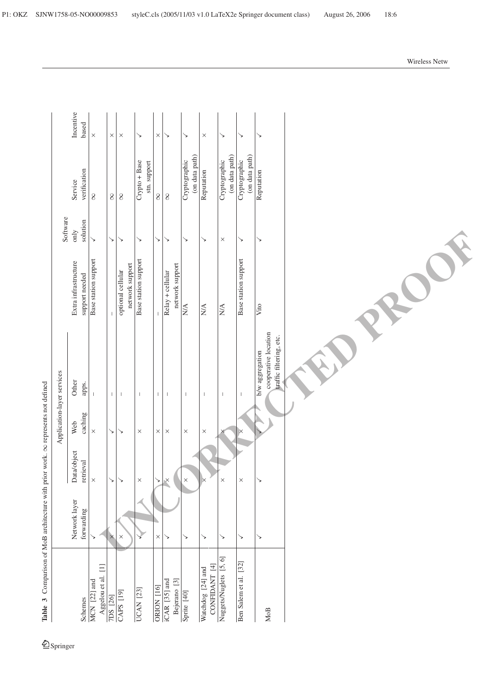| (on data path)<br>$($ on data $\mathit{path})$<br>(on data path)<br>Cryptographic<br>Cryptographic<br>Cryptographic<br>Crypto + Base<br>stn. support<br>verification<br>Reputation<br>Reputation<br>Service<br>$8\,$<br>$\, 8$<br>$8\,$<br>$8\,$<br>$8\,$<br>Software<br>solution<br>only<br>$\times$<br>↘<br>↘<br>↘<br>↘<br>↘<br>↘<br>↘<br>↘<br>↘<br>↘<br>Base station support<br>Base station support<br>Base station support<br>Extra infrastructure<br>network support<br>network support<br>optional cellular<br>$Relay + cellular$<br>support needed<br>$\stackrel{\triangle}{\approx}$<br>$\mathop{\mathsf{N}}\nolimits$<br>Vito<br>$\mathop{\rm N}\nolimits\!mathbb{A}$<br>$\mathbf{L}$<br>$\mathbf{I}$<br>cooperative location<br>traffic filtering, etc.<br>b/w aggregation<br>Application-layer services<br>Other<br>apps.<br>$\mathsf I$<br>$\mathbb{L}$<br>$\mathbf{I}$<br>$\mathbf{I}$<br>Τ.<br>$\overline{\phantom{a}}$<br>-1<br>$\perp$<br>caching<br>Web<br>$\times$<br>$\times$<br>$\times$<br>$\times$<br>$\times$<br>$\times$<br>↘<br>↘<br>Data/object<br>retrieval<br>$\times$<br>$\times$<br>$\times$<br>$\times$<br>$\times$<br>$\times$<br>↘<br>Network layer<br>forwarding<br>$\times$<br>$\times$<br>$\times$<br>↘<br>↘<br>↘<br>↘<br>↘<br>↘<br>↘<br>Nuggets/Nuglets [5, 6]<br>$[32]$<br><b>CONFIDANT</b> [4]<br>Aggelou et al. [1]<br>Watchdog [24] and<br>Ben Salem et al.<br>iCAR [35] and<br>Bejerano <sup>[3]</sup><br>$MCN$ [22] and<br><b>ORION</b> [16]<br><b>UCAN</b> [23]<br>CAPS [19]<br>Sprite [40]<br>7DS [26]<br>Schemes<br>$\rm MoB$ | <b>Table 3</b> Comparison of MoB architecture with prior work. $\infty$ represents not defined |  |  |  |              |
|------------------------------------------------------------------------------------------------------------------------------------------------------------------------------------------------------------------------------------------------------------------------------------------------------------------------------------------------------------------------------------------------------------------------------------------------------------------------------------------------------------------------------------------------------------------------------------------------------------------------------------------------------------------------------------------------------------------------------------------------------------------------------------------------------------------------------------------------------------------------------------------------------------------------------------------------------------------------------------------------------------------------------------------------------------------------------------------------------------------------------------------------------------------------------------------------------------------------------------------------------------------------------------------------------------------------------------------------------------------------------------------------------------------------------------------------------------------------------------------------------------------------------------------------------------------------------|------------------------------------------------------------------------------------------------|--|--|--|--------------|
|                                                                                                                                                                                                                                                                                                                                                                                                                                                                                                                                                                                                                                                                                                                                                                                                                                                                                                                                                                                                                                                                                                                                                                                                                                                                                                                                                                                                                                                                                                                                                                              |                                                                                                |  |  |  |              |
|                                                                                                                                                                                                                                                                                                                                                                                                                                                                                                                                                                                                                                                                                                                                                                                                                                                                                                                                                                                                                                                                                                                                                                                                                                                                                                                                                                                                                                                                                                                                                                              |                                                                                                |  |  |  | Incentive    |
|                                                                                                                                                                                                                                                                                                                                                                                                                                                                                                                                                                                                                                                                                                                                                                                                                                                                                                                                                                                                                                                                                                                                                                                                                                                                                                                                                                                                                                                                                                                                                                              |                                                                                                |  |  |  | based        |
|                                                                                                                                                                                                                                                                                                                                                                                                                                                                                                                                                                                                                                                                                                                                                                                                                                                                                                                                                                                                                                                                                                                                                                                                                                                                                                                                                                                                                                                                                                                                                                              |                                                                                                |  |  |  | $\times$     |
|                                                                                                                                                                                                                                                                                                                                                                                                                                                                                                                                                                                                                                                                                                                                                                                                                                                                                                                                                                                                                                                                                                                                                                                                                                                                                                                                                                                                                                                                                                                                                                              |                                                                                                |  |  |  | $\times$     |
|                                                                                                                                                                                                                                                                                                                                                                                                                                                                                                                                                                                                                                                                                                                                                                                                                                                                                                                                                                                                                                                                                                                                                                                                                                                                                                                                                                                                                                                                                                                                                                              |                                                                                                |  |  |  | $\times$     |
|                                                                                                                                                                                                                                                                                                                                                                                                                                                                                                                                                                                                                                                                                                                                                                                                                                                                                                                                                                                                                                                                                                                                                                                                                                                                                                                                                                                                                                                                                                                                                                              |                                                                                                |  |  |  |              |
|                                                                                                                                                                                                                                                                                                                                                                                                                                                                                                                                                                                                                                                                                                                                                                                                                                                                                                                                                                                                                                                                                                                                                                                                                                                                                                                                                                                                                                                                                                                                                                              |                                                                                                |  |  |  | ↘            |
|                                                                                                                                                                                                                                                                                                                                                                                                                                                                                                                                                                                                                                                                                                                                                                                                                                                                                                                                                                                                                                                                                                                                                                                                                                                                                                                                                                                                                                                                                                                                                                              |                                                                                                |  |  |  | $\times$     |
|                                                                                                                                                                                                                                                                                                                                                                                                                                                                                                                                                                                                                                                                                                                                                                                                                                                                                                                                                                                                                                                                                                                                                                                                                                                                                                                                                                                                                                                                                                                                                                              |                                                                                                |  |  |  | ↘            |
|                                                                                                                                                                                                                                                                                                                                                                                                                                                                                                                                                                                                                                                                                                                                                                                                                                                                                                                                                                                                                                                                                                                                                                                                                                                                                                                                                                                                                                                                                                                                                                              |                                                                                                |  |  |  |              |
|                                                                                                                                                                                                                                                                                                                                                                                                                                                                                                                                                                                                                                                                                                                                                                                                                                                                                                                                                                                                                                                                                                                                                                                                                                                                                                                                                                                                                                                                                                                                                                              |                                                                                                |  |  |  | ↘            |
|                                                                                                                                                                                                                                                                                                                                                                                                                                                                                                                                                                                                                                                                                                                                                                                                                                                                                                                                                                                                                                                                                                                                                                                                                                                                                                                                                                                                                                                                                                                                                                              |                                                                                                |  |  |  | $\times$     |
|                                                                                                                                                                                                                                                                                                                                                                                                                                                                                                                                                                                                                                                                                                                                                                                                                                                                                                                                                                                                                                                                                                                                                                                                                                                                                                                                                                                                                                                                                                                                                                              |                                                                                                |  |  |  |              |
|                                                                                                                                                                                                                                                                                                                                                                                                                                                                                                                                                                                                                                                                                                                                                                                                                                                                                                                                                                                                                                                                                                                                                                                                                                                                                                                                                                                                                                                                                                                                                                              |                                                                                                |  |  |  | $\checkmark$ |
|                                                                                                                                                                                                                                                                                                                                                                                                                                                                                                                                                                                                                                                                                                                                                                                                                                                                                                                                                                                                                                                                                                                                                                                                                                                                                                                                                                                                                                                                                                                                                                              |                                                                                                |  |  |  | ↘            |
|                                                                                                                                                                                                                                                                                                                                                                                                                                                                                                                                                                                                                                                                                                                                                                                                                                                                                                                                                                                                                                                                                                                                                                                                                                                                                                                                                                                                                                                                                                                                                                              |                                                                                                |  |  |  |              |
|                                                                                                                                                                                                                                                                                                                                                                                                                                                                                                                                                                                                                                                                                                                                                                                                                                                                                                                                                                                                                                                                                                                                                                                                                                                                                                                                                                                                                                                                                                                                                                              |                                                                                                |  |  |  | ↘            |
|                                                                                                                                                                                                                                                                                                                                                                                                                                                                                                                                                                                                                                                                                                                                                                                                                                                                                                                                                                                                                                                                                                                                                                                                                                                                                                                                                                                                                                                                                                                                                                              |                                                                                                |  |  |  |              |
|                                                                                                                                                                                                                                                                                                                                                                                                                                                                                                                                                                                                                                                                                                                                                                                                                                                                                                                                                                                                                                                                                                                                                                                                                                                                                                                                                                                                                                                                                                                                                                              |                                                                                                |  |  |  |              |

**Table 3** Comparison of MoB architecture with prior work. Table 3 Comparison of MoB architecture with prior work.  $\infty$  represents not defined

 $\underline{\Phi}$  Springer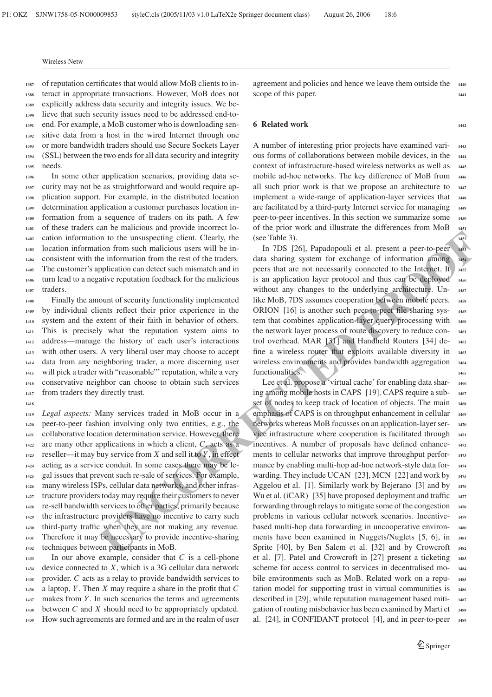**1418**

 of reputation certificates that would allow MoB clients to in- teract in appropriate transactions. However, MoB does not explicitly address data security and integrity issues. We be- lieve that such security issues need to be addressed end-to- end. For example, a MoB customer who is downloading sen- sitive data from a host in the wired Internet through one or more bandwidth traders should use Secure Sockets Layer (SSL) between the two ends for all data security and integrity **<sup>1395</sup>** needs.

 In some other application scenarios, providing data se- curity may not be as straightforward and would require ap- plication support. For example, in the distributed location determination application a customer purchases location in- formation from a sequence of traders on its path. A few of these traders can be malicious and provide incorrect lo- cation information to the unsuspecting client. Clearly, the location information from such malicious users will be in- consistent with the information from the rest of the traders. The customer's application can detect such mismatch and in turn lead to a negative reputation feedback for the malicious **<sup>1407</sup>** traders.

 Finally the amount of security functionality implemented by individual clients reflect their prior experience in the system and the extent of their faith in behavior of others. This is precisely what the reputation system aims to address—manage the history of each user's interactions with other users. A very liberal user may choose to accept data from any neighboring trader, a more discerning user will pick a trader with "reasonable"' reputation, while a very conservative neighbor can choose to obtain such services from traders they directly trust.

 *Legal aspects:* Many services traded in MoB occur in a peer-to-peer fashion involving only two entities, e.g., the collaborative location determination service. However, there are many other applications in which a client, *C*, acts as a reseller—it may buy service from *X* and sell it to *Y* , in effect acting as a service conduit. In some cases there may be le- gal issues that prevent such re-sale of services. For example, many wireless ISPs, cellular data networks, and other infras- tructure providers today may require their customers to never re-sell bandwidth services to other parties, primarily because the infrastructure providers have no incentive to carry such third-party traffic when they are not making any revenue. Therefore it may be necessary to provide incentive-sharing techniques between participants in MoB.

 In our above example, consider that *C* is a cell-phone device connected to *X*, which is a 3G cellular data network provider. *C* acts as a relay to provide bandwidth services to a laptop, *Y* . Then *X* may require a share in the profit that *C* makes from *Y* . In such scenarios the terms and agreements between *C* and *X* should need to be appropriately updated. How such agreements are formed and are in the realm of user

agreement and policies and hence we leave them outside the **<sup>1440</sup>** scope of this paper.

#### **6 Related work <sup>1442</sup>**

A number of interesting prior projects have examined vari- **<sup>1443</sup>** ous forms of collaborations between mobile devices, in the **<sup>1444</sup>** context of infrastructure-based wireless networks as well as **<sup>1445</sup>** mobile ad-hoc networks. The key difference of MoB from **<sup>1446</sup>** all such prior work is that we propose an architecture to **<sup>1447</sup>** implement a wide-range of application-layer services that **<sup>1448</sup>** are facilitated by a third-party Internet service for managing **<sup>1449</sup>** peer-to-peer incentives. In this section we summarize some **<sup>1450</sup>** of the prior work and illustrate the differences from MoB **<sup>1451</sup>** (see Table 3). **<sup>1452</sup>**

In 7DS [26], Papadopouli et al. present a peer-to-peer **<sup>1453</sup>** data sharing system for exchange of information among **<sup>1454</sup>** peers that are not necessarily connected to the Internet. It **<sup>1455</sup>** is an application layer protocol and thus can be deployed **<sup>1456</sup>** without any changes to the underlying architecture. Unlike MoB, 7DS assumes cooperation between mobile peers. **<sup>1458</sup>** ORION [16] is another such peer-to-peer file sharing sys- **<sup>1459</sup>** tem that combines application-layer query processing with **<sup>1460</sup>** the network layer process of route discovery to reduce con- **<sup>1461</sup>** trol overhead. MAR [31] and Handheld Routers [34] de- **<sup>1462</sup>** fine a wireless router that exploits available diversity in **<sup>1463</sup>** wireless environments and provides bandwidth aggregation 146 functionalities.

n to the unsuspecting client. Clearly, the (see Table 3),<br>
Union from such minicials uses will be in-<br>
Information from the treat of the trackers. Una sharing system for exchange of information among<br>
information from the Lee et al. propose a 'virtual cache' for enabling data shar-<br>1466 ing among mobile hosts in CAPS [19]. CAPS require a sub- **<sup>1467</sup>** set of nodes to keep track of location of objects. The main 146 emphasis of CAPS is on throughput enhancement in cellular **1469** networks whereas MoB focusses on an application-layer ser- **<sup>1470</sup>** vice infrastructure where cooperation is facilitated through **<sup>1471</sup>** incentives. A number of proposals have defined enhance- **<sup>1472</sup>** ments to cellular networks that improve throughput perfor- **<sup>1473</sup>** mance by enabling multi-hop ad-hoc network-style data for- **<sup>1474</sup>** warding. They include UCAN [23], MCN [22] and work by 1475 Aggelou et al. [1]. Similarly work by Bejerano [3] and by **<sup>1476</sup>** Wu et al. (iCAR) [35] have proposed deployment and traffic 1477 forwarding through relays to mitigate some of the congestion **<sup>1478</sup>** problems in various cellular network scenarios. Incentive- **<sup>1479</sup>** based multi-hop data forwarding in uncooperative environ- **<sup>1480</sup>** ments have been examined in Nuggets/Nuglets [5, 6], in 1481 Sprite [40], by Ben Salem et al. [32] and by Crowcroft **<sup>1482</sup>** et al. [7]. Patel and Crowcroft in [27] present a ticketing **<sup>1483</sup>** scheme for access control to services in decentralised mobile environments such as MoB. Related work on a repu-<br>  $1485$ tation model for supporting trust in virtual communities is **<sup>1486</sup>** described in [29], while reputation management based miti- **<sup>1487</sup>** gation of routing misbehavior has been examined by Marti et **<sup>1488</sup>** al. [24], in CONFIDANT protocol [4], and in peer-to-peer **148** 

 $\mathcal{D}_{\text{Springer}}$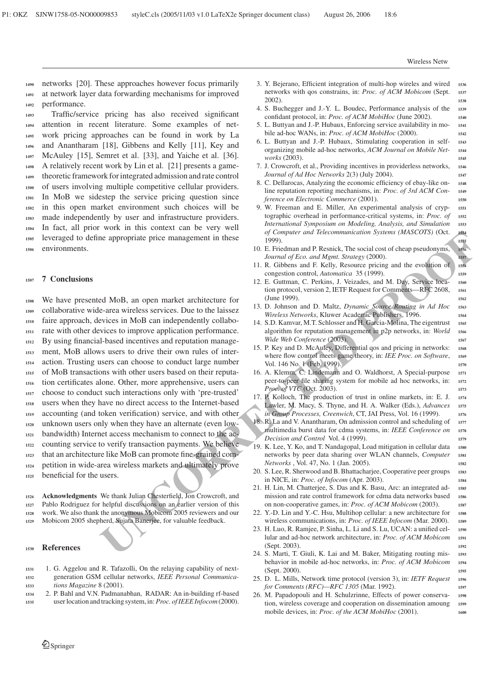**<sup>1490</sup>** networks [20]. These approaches however focus primarily **<sup>1491</sup>** at network layer data forwarding mechanisms for improved **<sup>1492</sup>** performance.

 Traffic/service pricing has also received significant attention in recent literature. Some examples of net- work pricing approaches can be found in work by La and Anantharam [18], Gibbens and Kelly [11], Key and McAuley [15], Semret et al. [33], and Yaiche et al. [36]. A relatively recent work by Lin et al. [21] presents a game- theoretic framework for integrated admission and rate control of users involving multiple competitive cellular providers. In MoB we sidestep the service pricing question since in this open market environment such choices will be made independently by user and infrastructure providers. In fact, all prior work in this context can be very well leveraged to define appropriate price management in these environments.

# **<sup>1507</sup> 7 Conclusions**

**Example of the Resonance of the Conduction School of the Conduction School of the Conduction School of the Conduction Conduction Conduction Conduction Conduction Conduction Conduction Conduction Conduction Conduction Con**  We have presented MoB, an open market architecture for collaborative wide-area wireless services. Due to the laissez faire approach, devices in MoB can independently collabo- rate with other devices to improve application performance. By using financial-based incentives and reputation manage- ment, MoB allows users to drive their own rules of inter- action. Trusting users can choose to conduct large number of MoB transactions with other users based on their reputa- tion certificates alone. Other, more apprehensive, users can choose to conduct such interactions only with 'pre-trusted' users when they have no direct access to the Internet-based accounting (and token verification) service, and with other unknown users only when they have an alternate (even low- bandwidth) Internet access mechanism to connect to the ac- counting service to verify transaction payments. We believe that an architecture like MoB can promote fine-grained com- petition in wide-area wireless markets and ultimately prove beneficial for the users.

 **Acknowledgments** We thank Julian Chesterfield, Jon Crowcroft, and Pablo Rodriguez for helpful discussions on an earlier version of this work. We also thank the anonymous Mobicom 2005 reviewers and our Mobicom 2005 shepherd, Sujata Banerjee, for valuable feedback.

# **<sup>1530</sup> References**

- **<sup>1531</sup>** 1. G. Aggelou and R. Tafazolli, On the relaying capability of next-**<sup>1532</sup>** generation GSM cellular networks, *IEEE Personal Communica-***<sup>1533</sup>** *tions Magazine* 8 (2001).
- **<sup>1534</sup>** 2. P. Bahl and V.N. Padmanabhan, RADAR: An in-building rf-based **<sup>1535</sup>** user location and tracking system, in:*Proc. of IEEE Infocom* (2000).
- confidant protocol, in: *Proc. of ACM MobiHoc* (June 2002). **<sup>1540</sup>** 5. L. Buttyan and J.-P. Hubaux, Enforcing service availability in mo- **<sup>1541</sup>** bile ad-hoc WANs, in: *Proc. of ACM MobiHoc* (2000). **<sup>1542</sup>**
	- 6. L. Buttyan and J.-P. Hubaux, Stimulating cooperation in self- **<sup>1543</sup>** organizing mobile ad-hoc networks, *ACM Journal on Mobile Net-* **<sup>1544</sup>** *works* (2003). **<sup>1545</sup>**

3. Y. Bejerano, Efficient integration of multi-hop wireles and wired **<sup>1536</sup>** networks with qos constrains, in: *Proc. of ACM Mobicom* (Sept. **<sup>1537</sup>** 2002). **<sup>1538</sup>** 4. S. Buchegger and J.-Y. L. Boudec, Performance analysis of the **<sup>1539</sup>**

- 7. J. Crowcroft, et al., Providing incentives in providerless networks, **<sup>1546</sup>** *Journal of Ad Hoc Networks* 2(3) (July 2004). **<sup>1547</sup>**
- 8. C. Dellarocas, Analyzing the economic efficiency of ebay-like on- **<sup>1548</sup>** line reputation reporting mechanisms, in: *Proc. of 3rd ACM Con-* **<sup>1549</sup>** *ference on Electronic Commerce* (2001). **<sup>1550</sup>**
- 9. W. Freeman and E. Miller, An experimental analysis of cryp- **<sup>1551</sup>** tographic overhead in performance-critical systems, in: *Proc. of* **<sup>1552</sup>** *International Symposium on Modeling, Analysis, and Simulation* **<sup>1553</sup>** *of Computer and Telecommunication Systems (MASCOTS)* (Oct. **<sup>1554</sup>** 1999). **<sup>1555</sup>**
- 10. E. Friedman and P. Resnick, The social cost of cheap pseudonyms, **<sup>1556</sup>** *Journal of Eco. and Mgmt. Strategy* (2000). **<sup>1557</sup>**
- 11. R. Gibbens and F. Kelly, Resource pricing and the evolution of **<sup>1558</sup>** congestion control, *Automatica* 35 (1999). **<sup>1559</sup>**
- 12. E. Guttman, C. Perkins, J. Veizades, and M. Day, Service loca- **<sup>1560</sup>** tion protocol, version 2, IETF Request for Comments—RFC 2608, **<sup>1561</sup>** (June 1999). **<sup>1562</sup>**
- 13. D. Johnson and D. Maltz, *Dynamic Source Routing in Ad Hoc* **<sup>1563</sup>** *Wireless Networks*, Kluwer Academic Publishers, 1996. **<sup>1564</sup>**
- 14. S.D. Kamvar, M.T. Schlosser and H. Garcia-Molina, The eigentrust **<sup>1565</sup>** algorithm for reputation management in p2p networks, in: *World* **<sup>1566</sup>** *Wide Web Conference* (2003). **<sup>1567</sup>**
- 15. P. Key and D. McAuley, Differential qos and pricing in networks: **<sup>1568</sup>** where flow control meets game theory, in: *IEE Proc. on Software*, **<sup>1569</sup>** Vol. 146 No. 1 (Feb. 1999). **<sup>1570</sup>**
- 16. A. Klemm, C. Lindemann and O. Waldhorst, A Special-purpose **<sup>1571</sup>** peer-to-peer file sharing system for mobile ad hoc networks, in: **<sup>1572</sup>** *Proc. of VTC* (Oct. 2003). **<sup>1573</sup>**
- 17. P. Kolloch, The production of trust in online markets, in: E. J. **<sup>1574</sup>** Lawler, M. Macy, S. Thyne, and H. A. Walker (Eds.), *Advances* **<sup>1575</sup>** *in Group Processes, Creenwich*, CT, JAI Press, Vol. 16 (1999). **<sup>1576</sup>**
- 18. R. La and V. Anantharam, On admission control and scheduling of **<sup>1577</sup>** multimedia burst data for cdma systems, in: *IEEE Conference on* **<sup>1578</sup>** *Decision and Control* Vol. 4 (1999). **<sup>1579</sup>**
- 19. K. Lee, Y. Ko, and T. Nandagopal, Load mitigation in cellular data **<sup>1580</sup>** networks by peer data sharing over WLAN channels, *Computer* **<sup>1581</sup>** *Networks* , Vol. 47, No. 1 (Jan. 2005). **<sup>1582</sup>**
- 20. S. Lee, R. Sherwood and B. Bhattacharjee, Cooperative peer groups **<sup>1583</sup>** in NICE, in: *Proc. of Infocom* (Apr. 2003). **<sup>1584</sup>**
- 21. H. Lin, M. Chatterjee, S. Das and K. Basu, Arc: an integrated ad- **<sup>1585</sup>** mission and rate control framework for cdma data networks based **<sup>1586</sup>** on non-cooperative games, in: *Proc. of ACM Mobicom* (2003). **<sup>1587</sup>**
- 22. Y.-D. Lin and Y.-C. Hsu, Multihop cellular: a new architecture for **<sup>1588</sup>** wireless communications, in: *Proc. of IEEE Infocom* (Mar. 2000). **<sup>1589</sup>**
- 23. H. Luo, R. Ramjee, P. Sinha, L. Li and S. Lu, UCAN: a unified cel- **<sup>1590</sup>** lular and ad-hoc network architecture, in: *Proc. of ACM Mobicom* **<sup>1591</sup>** (Sept. 2003). **<sup>1592</sup>**
- 24. S. Marti, T. Giuli, K. Lai and M. Baker, Mitigating routing mis- **<sup>1593</sup>** behavior in mobile ad-hoc networks, in: *Proc. of ACM Mobicom* **<sup>1594</sup>** (Sept. 2000). **<sup>1595</sup>**
- 25. D. L. Mills, Network time protocol (version 3), in: *IETF Request* **<sup>1596</sup>** *for Comments (RFC)—RFC 1305* (Mar. 1992). **<sup>1597</sup>**
- 26. M. Papadopouli and H. Schulzrinne, Effects of power conserva- **<sup>1598</sup>** tion, wireless coverage and cooperation on dissemination amoung **<sup>1599</sup>** mobile devices, in: *Proc. of the ACM MobiHoc* (2001).